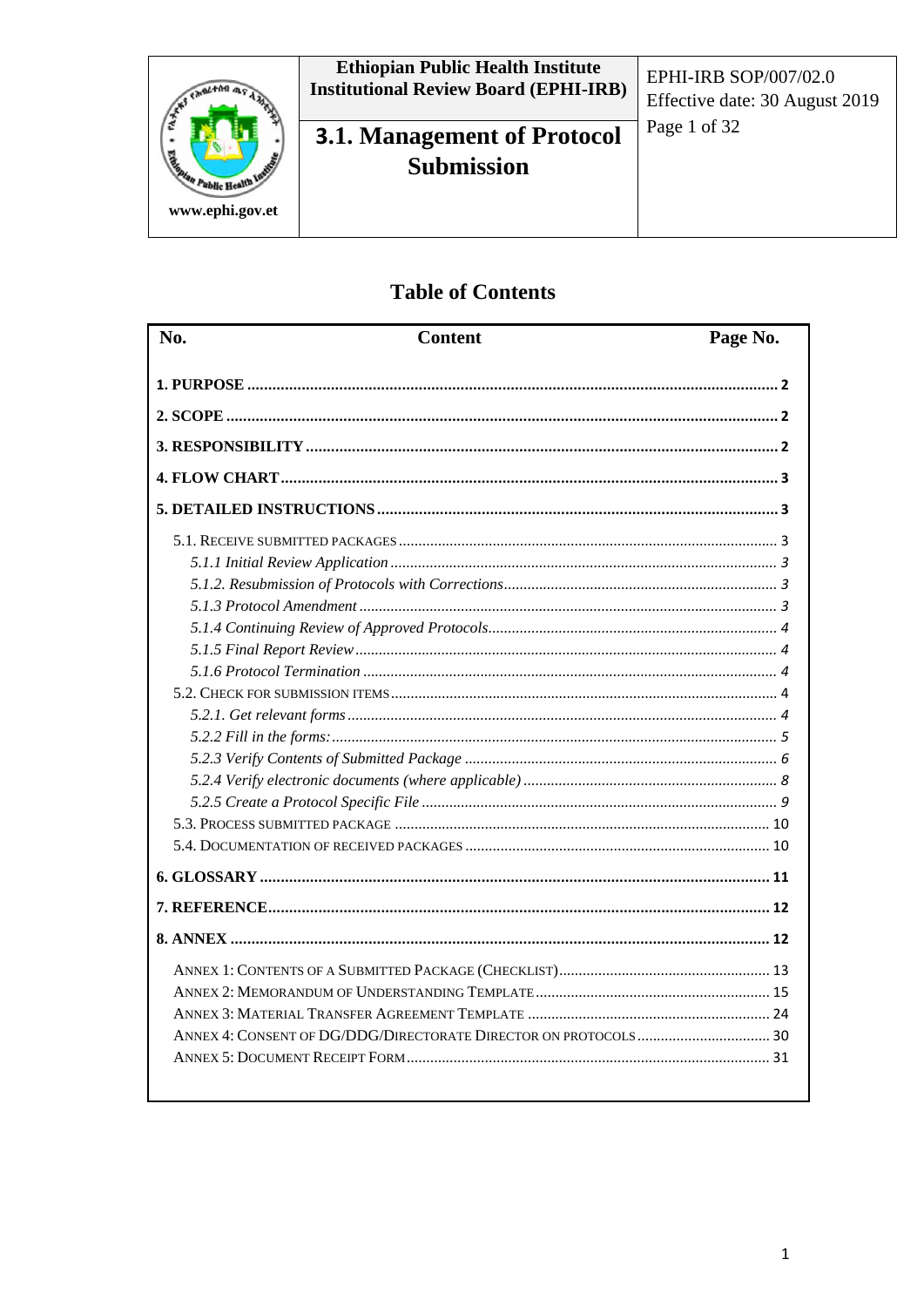

## **Table of Contents**

| N <sub>0</sub> . | <b>Content</b> | Page No. |
|------------------|----------------|----------|
|                  |                |          |
|                  |                |          |
|                  |                |          |
|                  |                |          |
|                  |                |          |
|                  |                |          |
|                  |                |          |
|                  |                |          |
|                  |                |          |
|                  |                |          |
|                  |                |          |
|                  |                |          |
|                  |                |          |
|                  |                |          |
|                  |                |          |
|                  |                |          |
|                  |                |          |
|                  |                |          |
|                  |                |          |
|                  |                |          |
|                  |                |          |
|                  |                |          |
|                  |                |          |
|                  |                |          |
|                  |                |          |
|                  |                |          |
|                  |                |          |
|                  |                |          |
|                  |                |          |
|                  |                |          |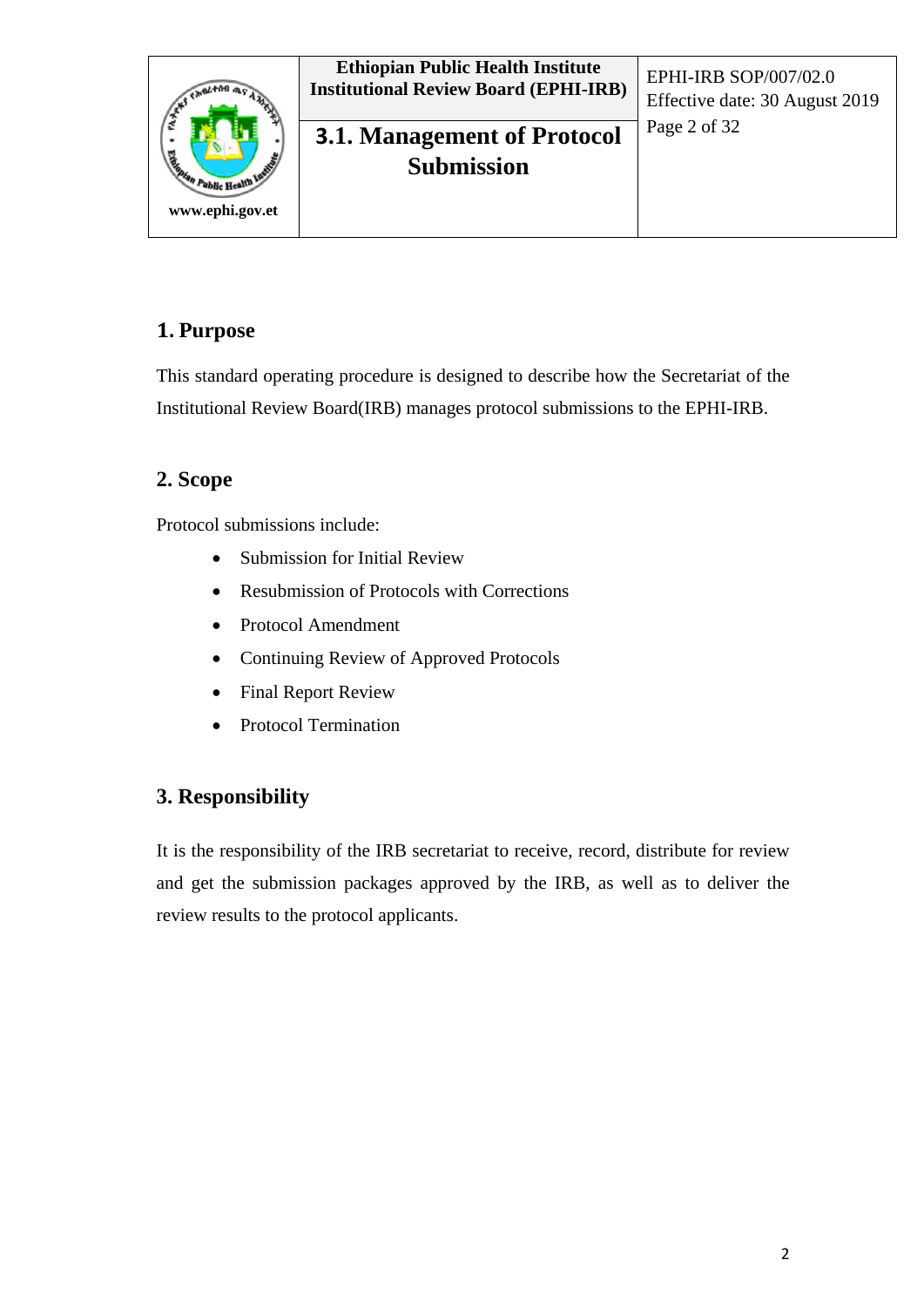

### **1. Purpose**

This standard operating procedure is designed to describe how the Secretariat of the Institutional Review Board(IRB) manages protocol submissions to the EPHI-IRB.

## **2. Scope**

Protocol submissions include:

- Submission for Initial Review
- Resubmission of Protocols with Corrections
- Protocol Amendment
- Continuing Review of Approved Protocols
- Final Report Review
- Protocol Termination

#### **3. Responsibility**

It is the responsibility of the IRB secretariat to receive, record, distribute for review and get the submission packages approved by the IRB, as well as to deliver the review results to the protocol applicants.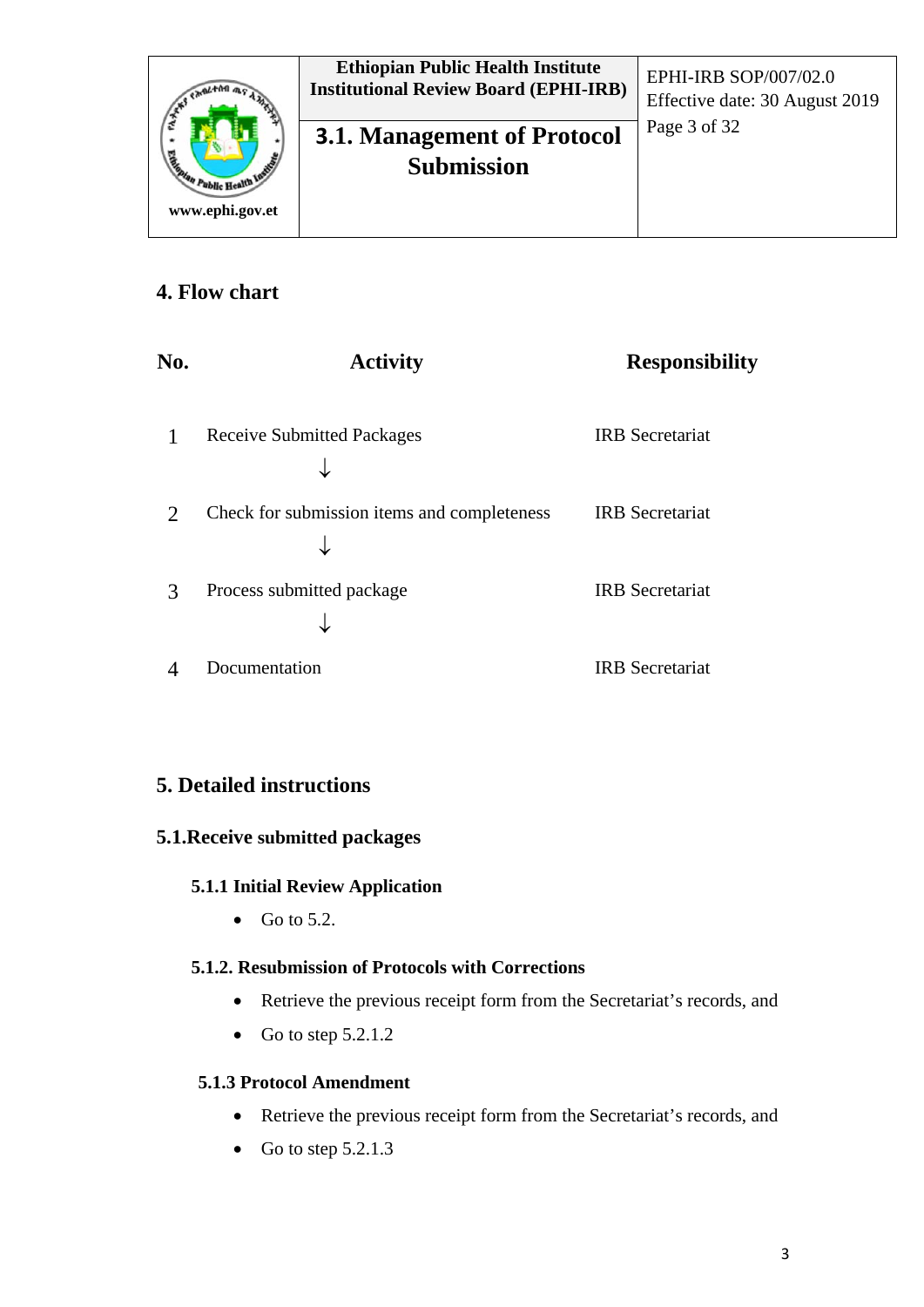

#### **4. Flow chart**

| No.                         | <b>Activity</b>                             | <b>Responsibility</b>  |
|-----------------------------|---------------------------------------------|------------------------|
|                             | <b>Receive Submitted Packages</b>           | <b>IRB</b> Secretariat |
| $\mathcal{D}_{\mathcal{A}}$ | Check for submission items and completeness | <b>IRB</b> Secretariat |
| 3                           | Process submitted package                   | <b>IRB</b> Secretariat |
|                             | Documentation                               | <b>IRB</b> Secretariat |

## **5. Detailed instructions**

#### **5.1.Receive submitted packages**

#### **5.1.1 Initial Review Application**

• Go to  $5.2$ .

#### **5.1.2. Resubmission of Protocols with Corrections**

- Retrieve the previous receipt form from the Secretariat's records, and
- Go to step  $5.2.1.2$

#### **5.1.3 Protocol Amendment**

- Retrieve the previous receipt form from the Secretariat's records, and
- Go to step  $5.2.1.3$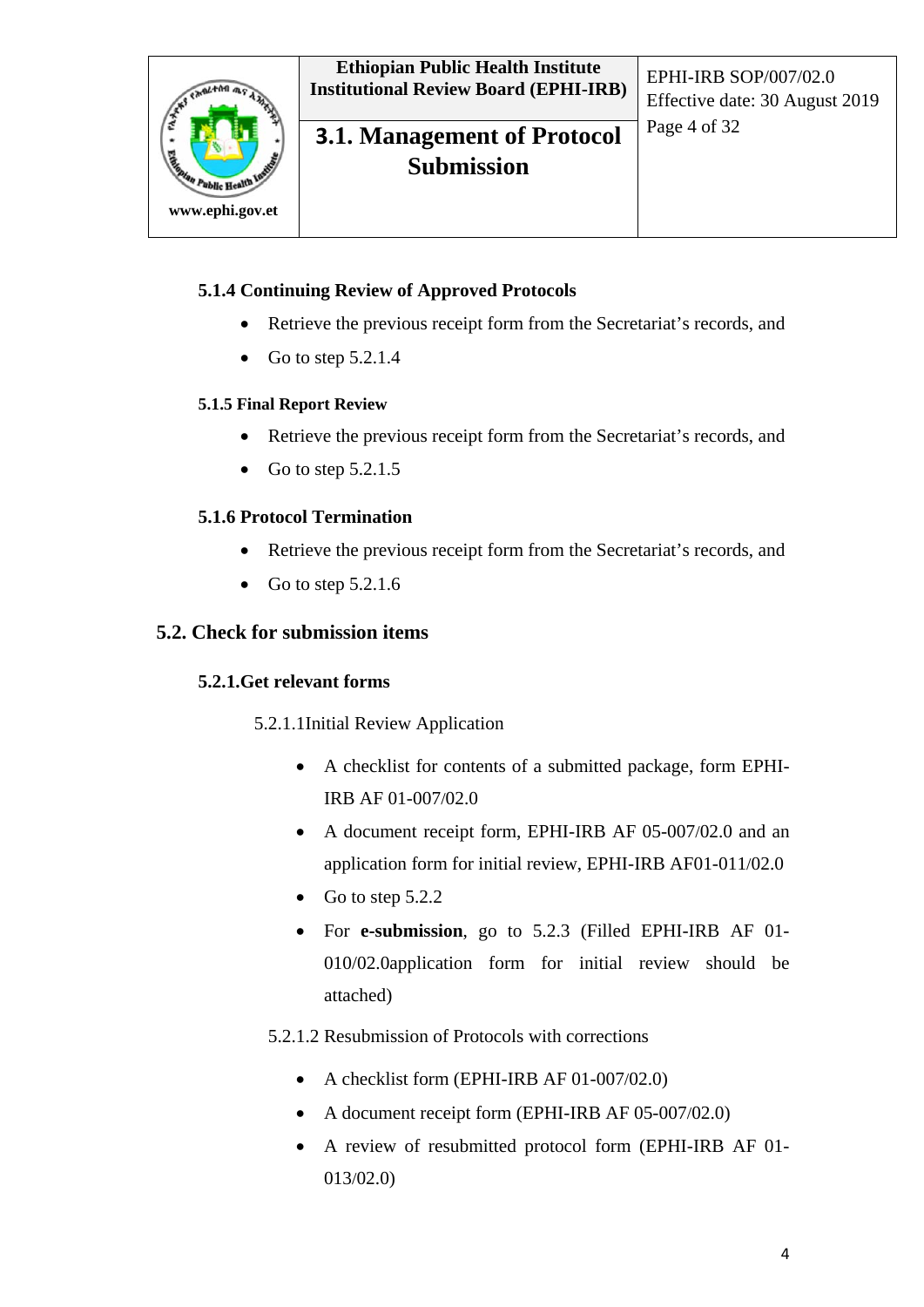

## **3.1. Management of Protocol** <sup>Page 4 of 32</sup> **Submission**

#### **5.1.4 Continuing Review of Approved Protocols**

- Retrieve the previous receipt form from the Secretariat's records, and
- Go to step  $5.2.1.4$

#### **5.1.5 Final Report Review**

- Retrieve the previous receipt form from the Secretariat's records, and
- Go to step  $5.2.1.5$

#### **5.1.6 Protocol Termination**

- Retrieve the previous receipt form from the Secretariat's records, and
- Go to step  $5.2.1.6$

#### **5.2. Check for submission items**

#### **5.2.1.Get relevant forms**

5.2.1.1Initial Review Application

- A checklist for contents of a submitted package, form EPHI-IRB AF 01-007/02.0
- A document receipt form, EPHI-IRB AF 05-007/02.0 and an application form for initial review, EPHI-IRB AF01-011/02.0
- Go to step  $5.2.2$
- For **e-submission**, go to 5.2.3 (Filled EPHI-IRB AF 01- 010/02.0application form for initial review should be attached)

#### 5.2.1.2 Resubmission of Protocols with corrections

- A checklist form (EPHI-IRB AF 01-007/02.0)
- A document receipt form (EPHI-IRB AF 05-007/02.0)
- A review of resubmitted protocol form (EPHI-IRB AF 01- 013/02.0)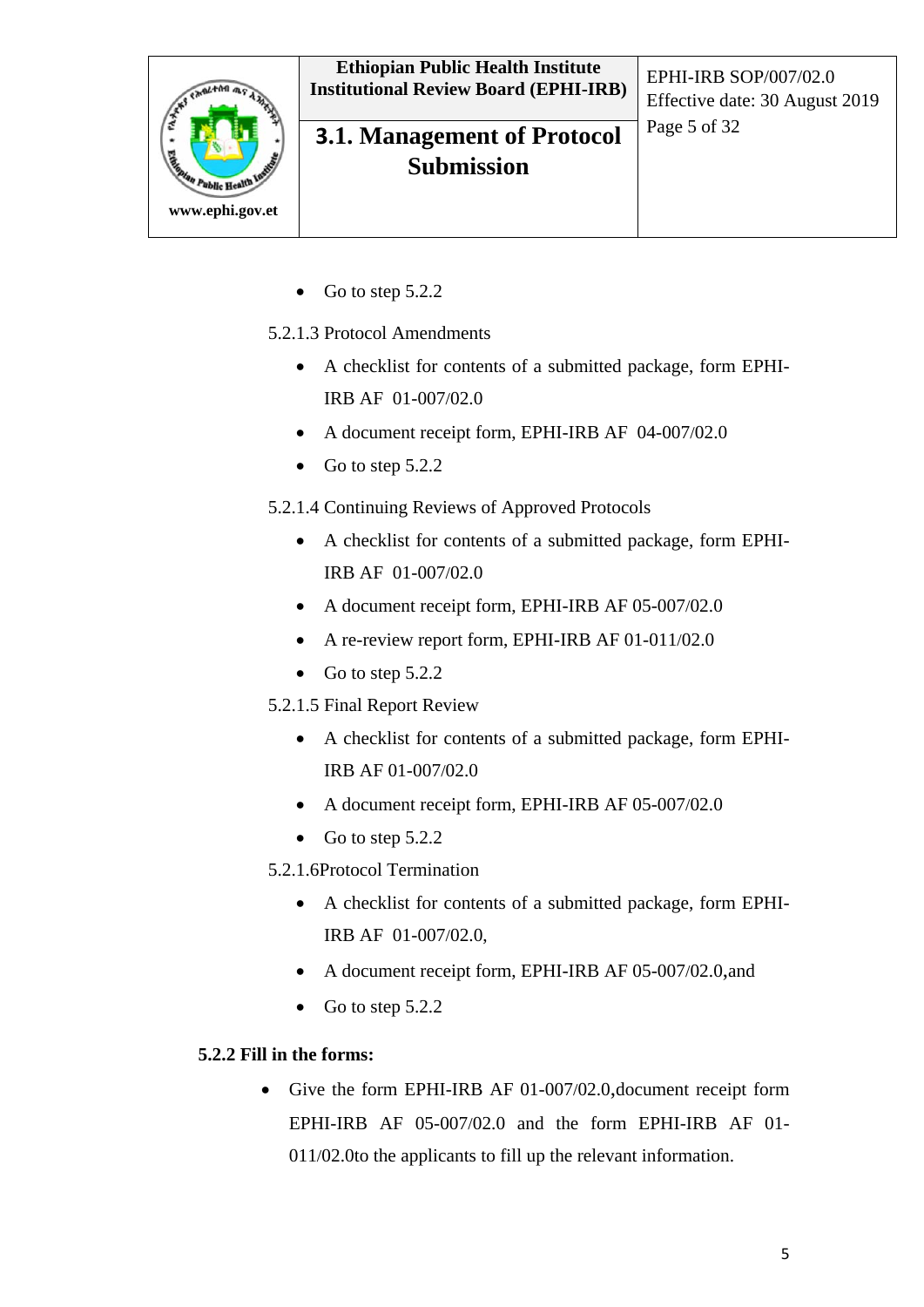

## **3.1. Management of Protocol** Page 5 of 32 **Submission**

Effective date: 30 August 2019

• Go to step  $5.2.2$ 

5.2.1.3 Protocol Amendments

- A checklist for contents of a submitted package, form EPHI-IRB AF 01-007/02.0
- A document receipt form, EPHI-IRB AF 04-007/02.0
- Go to step 5.2.2
- 5.2.1.4 Continuing Reviews of Approved Protocols
	- A checklist for contents of a submitted package, form EPHI-IRB AF 01-007/02.0
	- A document receipt form, EPHI-IRB AF 05-007/02.0
	- A re-review report form, EPHI-IRB AF 01-011/02.0
	- Go to step  $5.2.2$
- 5.2.1.5 Final Report Review
	- A checklist for contents of a submitted package, form EPHI-IRB AF 01-007/02.0
	- A document receipt form, EPHI-IRB AF 05-007/02.0
	- Go to step 5.2.2

5.2.1.6Protocol Termination

- A checklist for contents of a submitted package, form EPHI-IRB AF 01-007/02.0,
- A document receipt form, EPHI-IRB AF 05-007/02.0, and
- Go to step 5.2.2

#### **5.2.2 Fill in the forms:**

• Give the form EPHI-IRB AF 01-007/02.0, document receipt form EPHI-IRB AF 05-007/02.0 and the form EPHI-IRB AF 01- 011/02.0to the applicants to fill up the relevant information.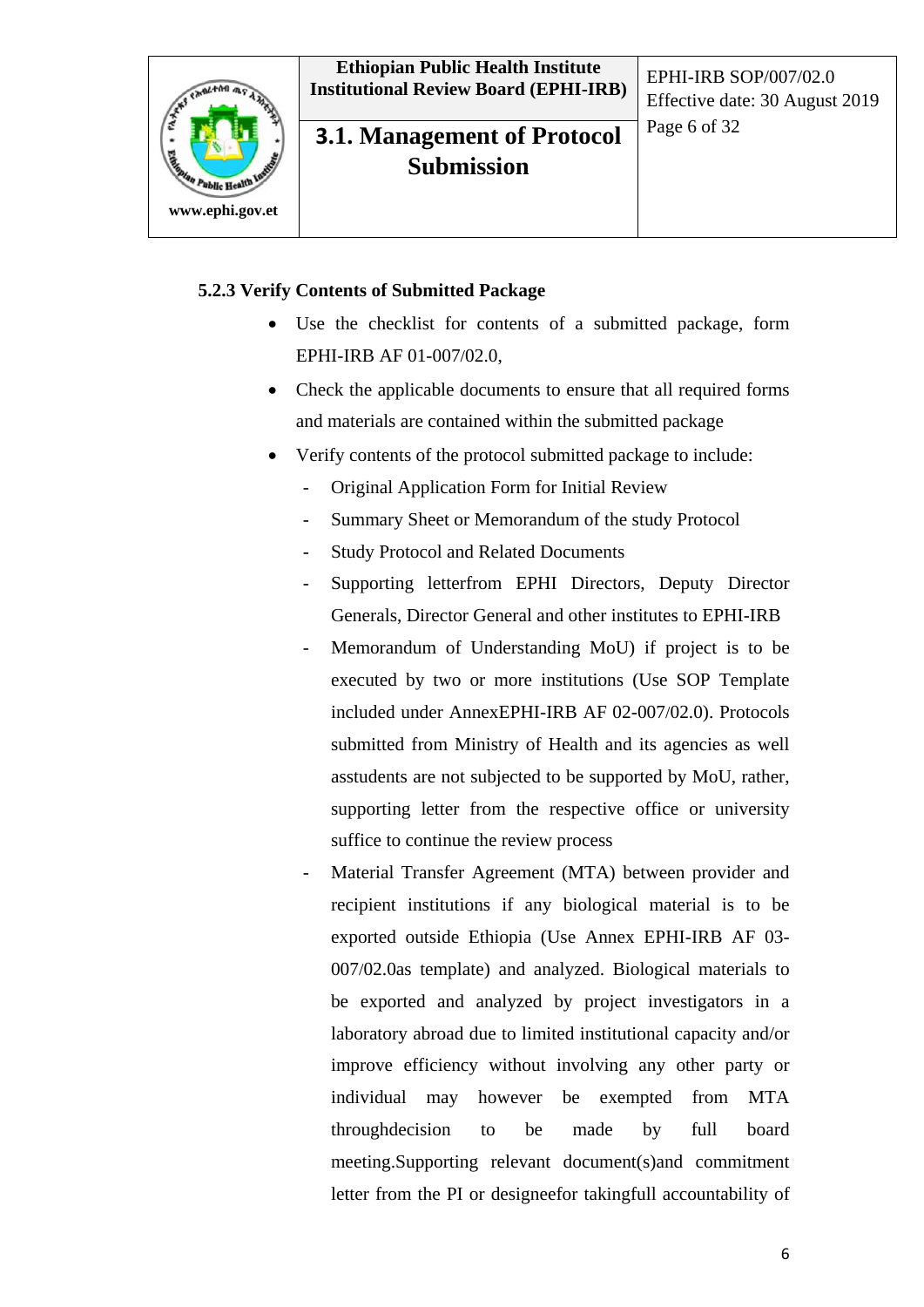

## **3.1. Management of Protocol** Page 6 of 32 **Submission**

Effective date: 30 August 2019

#### **5.2.3 Verify Contents of Submitted Package**

- Use the checklist for contents of a submitted package, form EPHI-IRB AF 01-007/02.0,
- Check the applicable documents to ensure that all required forms and materials are contained within the submitted package
- Verify contents of the protocol submitted package to include:
	- Original Application Form for Initial Review
	- Summary Sheet or Memorandum of the study Protocol
	- Study Protocol and Related Documents
	- Supporting letterfrom EPHI Directors, Deputy Director Generals, Director General and other institutes to EPHI-IRB
	- Memorandum of Understanding MoU) if project is to be executed by two or more institutions (Use SOP Template included under AnnexEPHI-IRB AF 02-007/02.0). Protocols submitted from Ministry of Health and its agencies as well asstudents are not subjected to be supported by MoU, rather, supporting letter from the respective office or university suffice to continue the review process
	- Material Transfer Agreement (MTA) between provider and recipient institutions if any biological material is to be exported outside Ethiopia (Use Annex EPHI-IRB AF 03- 007/02.0as template) and analyzed. Biological materials to be exported and analyzed by project investigators in a laboratory abroad due to limited institutional capacity and/or improve efficiency without involving any other party or individual may however be exempted from MTA throughdecision to be made by full board meeting.Supporting relevant document(s)and commitment letter from the PI or designeefor takingfull accountability of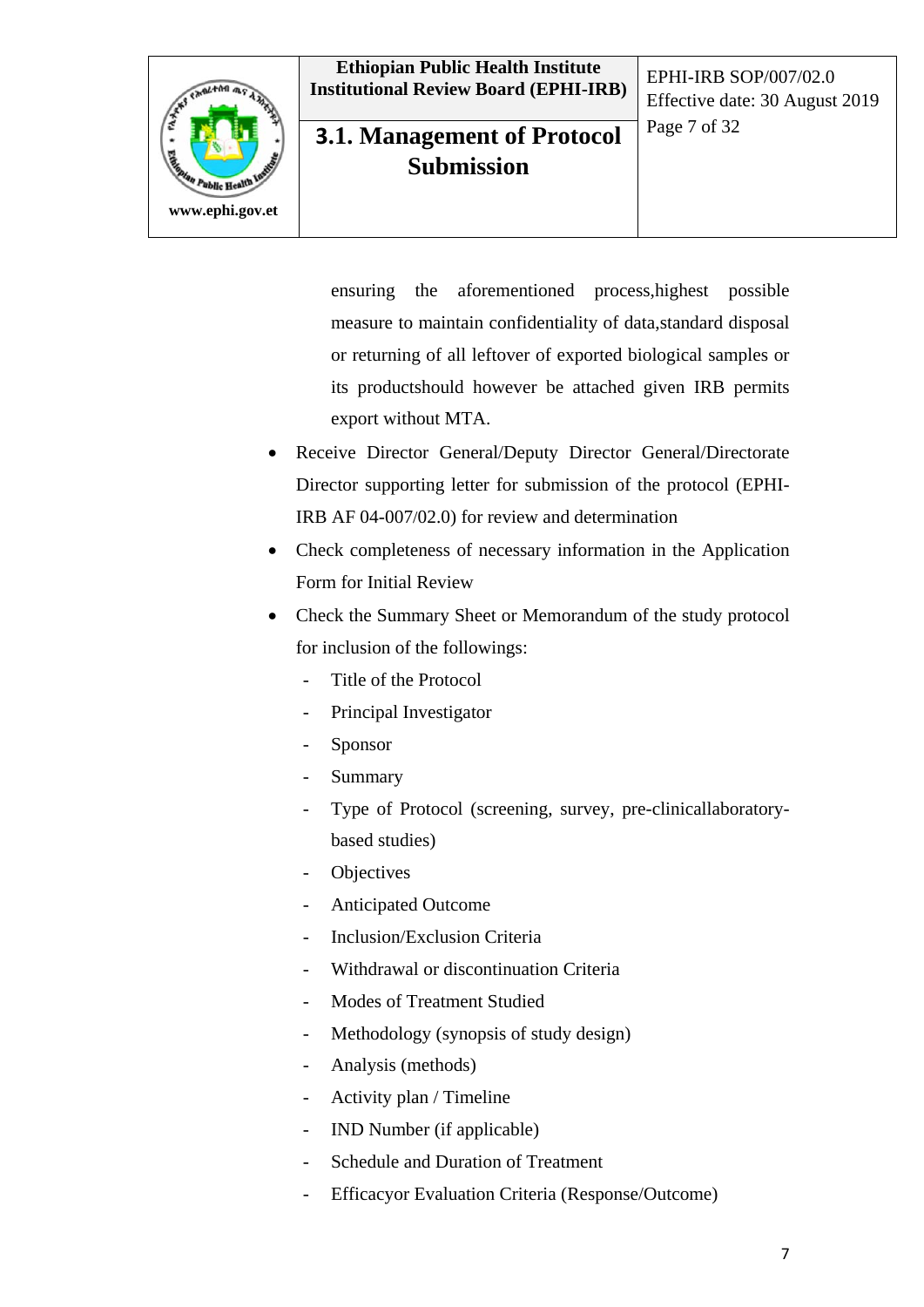

## **3.1. Management of Protocol** Page 7 of 32 **Submission**

Effective date: 30 August 2019

ensuring the aforementioned process,highest possible measure to maintain confidentiality of data,standard disposal or returning of all leftover of exported biological samples or its productshould however be attached given IRB permits export without MTA.

- Receive Director General/Deputy Director General/Directorate Director supporting letter for submission of the protocol (EPHI-IRB AF 04-007/02.0) for review and determination
- Check completeness of necessary information in the Application Form for Initial Review
- Check the Summary Sheet or Memorandum of the study protocol for inclusion of the followings:
	- Title of the Protocol
	- Principal Investigator
	- **Sponsor**
	- **Summary**
	- Type of Protocol (screening, survey, pre-clinicallaboratorybased studies)
	- **Objectives**
	- Anticipated Outcome
	- Inclusion/Exclusion Criteria
	- Withdrawal or discontinuation Criteria
	- Modes of Treatment Studied
	- Methodology (synopsis of study design)
	- Analysis (methods)
	- Activity plan / Timeline
	- IND Number (if applicable)
	- Schedule and Duration of Treatment
	- Efficacyor Evaluation Criteria (Response/Outcome)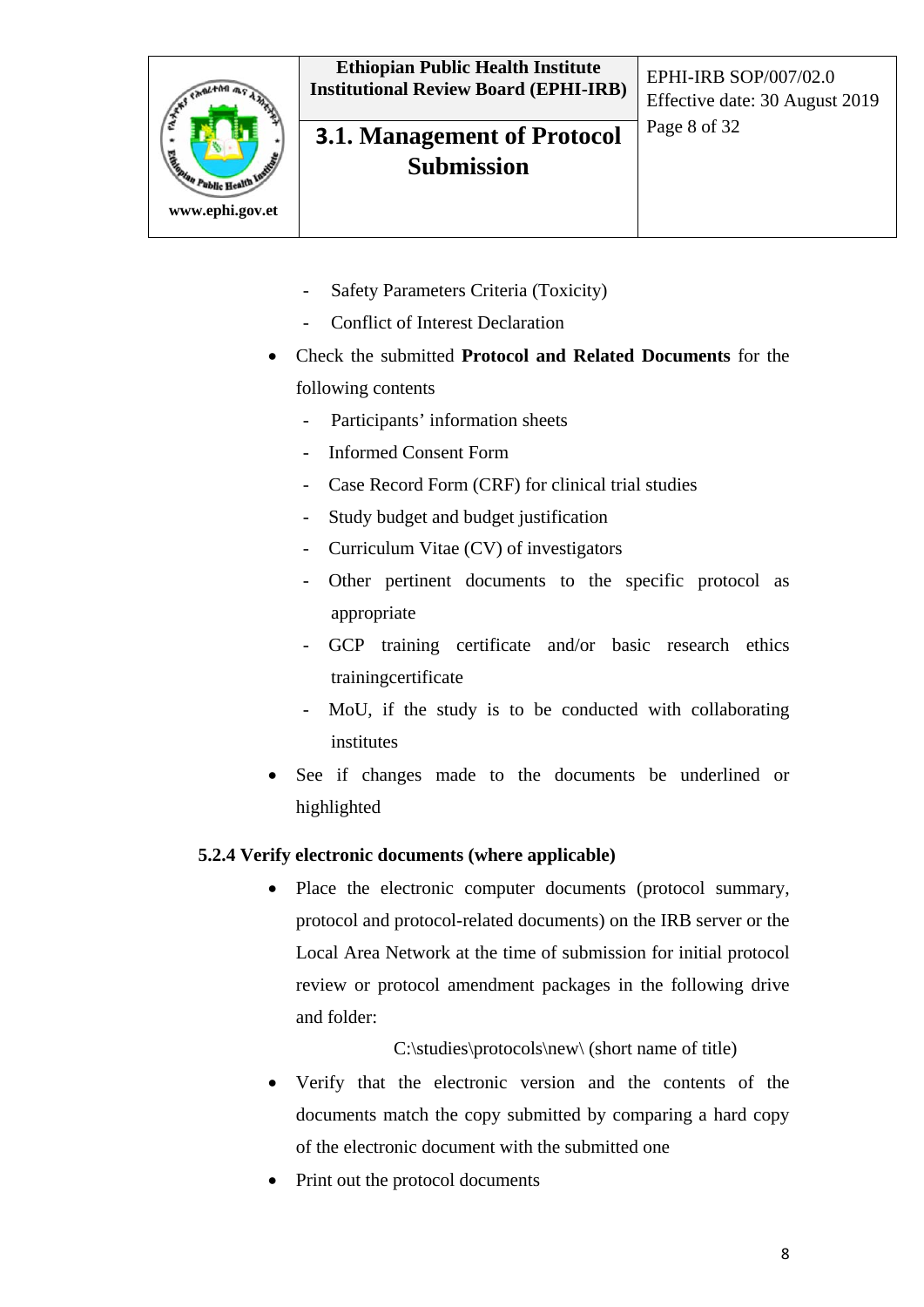

## **3.1. Management of Protocol** Page 8 of 32 **Submission**

Effective date: 30 August 2019

- Safety Parameters Criteria (Toxicity)
- Conflict of Interest Declaration
- Check the submitted **Protocol and Related Documents** for the following contents
	- Participants' information sheets
	- Informed Consent Form
	- Case Record Form (CRF) for clinical trial studies
	- Study budget and budget justification
	- Curriculum Vitae (CV) of investigators
	- Other pertinent documents to the specific protocol as appropriate
	- GCP training certificate and/or basic research ethics trainingcertificate
	- MoU, if the study is to be conducted with collaborating institutes
- See if changes made to the documents be underlined or highlighted

#### **5.2.4 Verify electronic documents (where applicable)**

• Place the electronic computer documents (protocol summary, protocol and protocol-related documents) on the IRB server or the Local Area Network at the time of submission for initial protocol review or protocol amendment packages in the following drive and folder:

#### C:\studies\protocols\new\ (short name of title)

- Verify that the electronic version and the contents of the documents match the copy submitted by comparing a hard copy of the electronic document with the submitted one
- Print out the protocol documents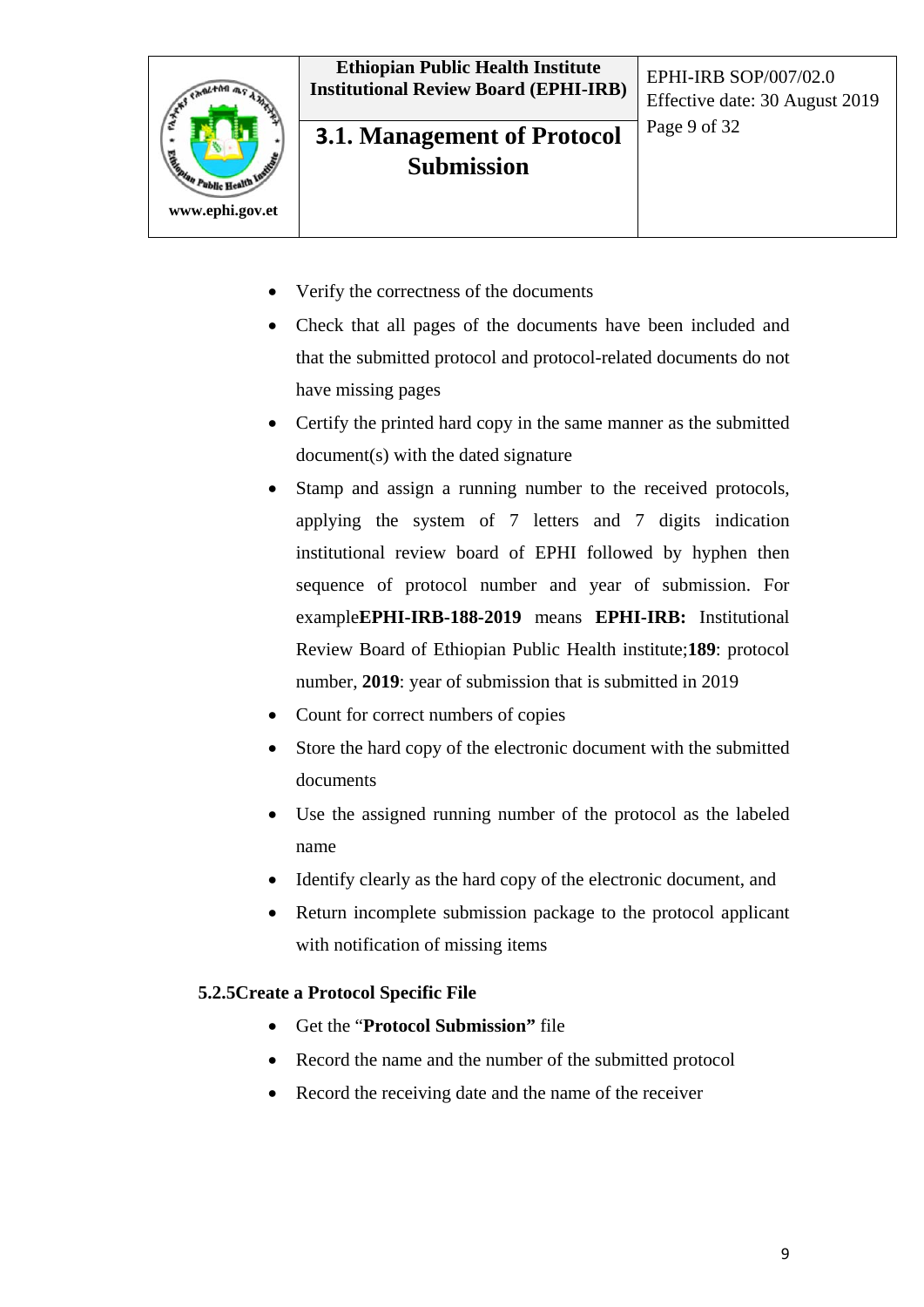

## **3.1. Management of Protocol** Page 9 of 32 **Submission**

Effective date: 30 August 2019

- Verify the correctness of the documents
- Check that all pages of the documents have been included and that the submitted protocol and protocol-related documents do not have missing pages
- Certify the printed hard copy in the same manner as the submitted document(s) with the dated signature
- Stamp and assign a running number to the received protocols, applying the system of 7 letters and 7 digits indication institutional review board of EPHI followed by hyphen then sequence of protocol number and year of submission. For example**EPHI-IRB-188-2019** means **EPHI-IRB:** Institutional Review Board of Ethiopian Public Health institute;**189**: protocol number, **2019**: year of submission that is submitted in 2019
- Count for correct numbers of copies
- Store the hard copy of the electronic document with the submitted documents
- Use the assigned running number of the protocol as the labeled name
- Identify clearly as the hard copy of the electronic document, and
- Return incomplete submission package to the protocol applicant with notification of missing items

#### **5.2.5Create a Protocol Specific File**

- Get the "**Protocol Submission"** file
- Record the name and the number of the submitted protocol
- Record the receiving date and the name of the receiver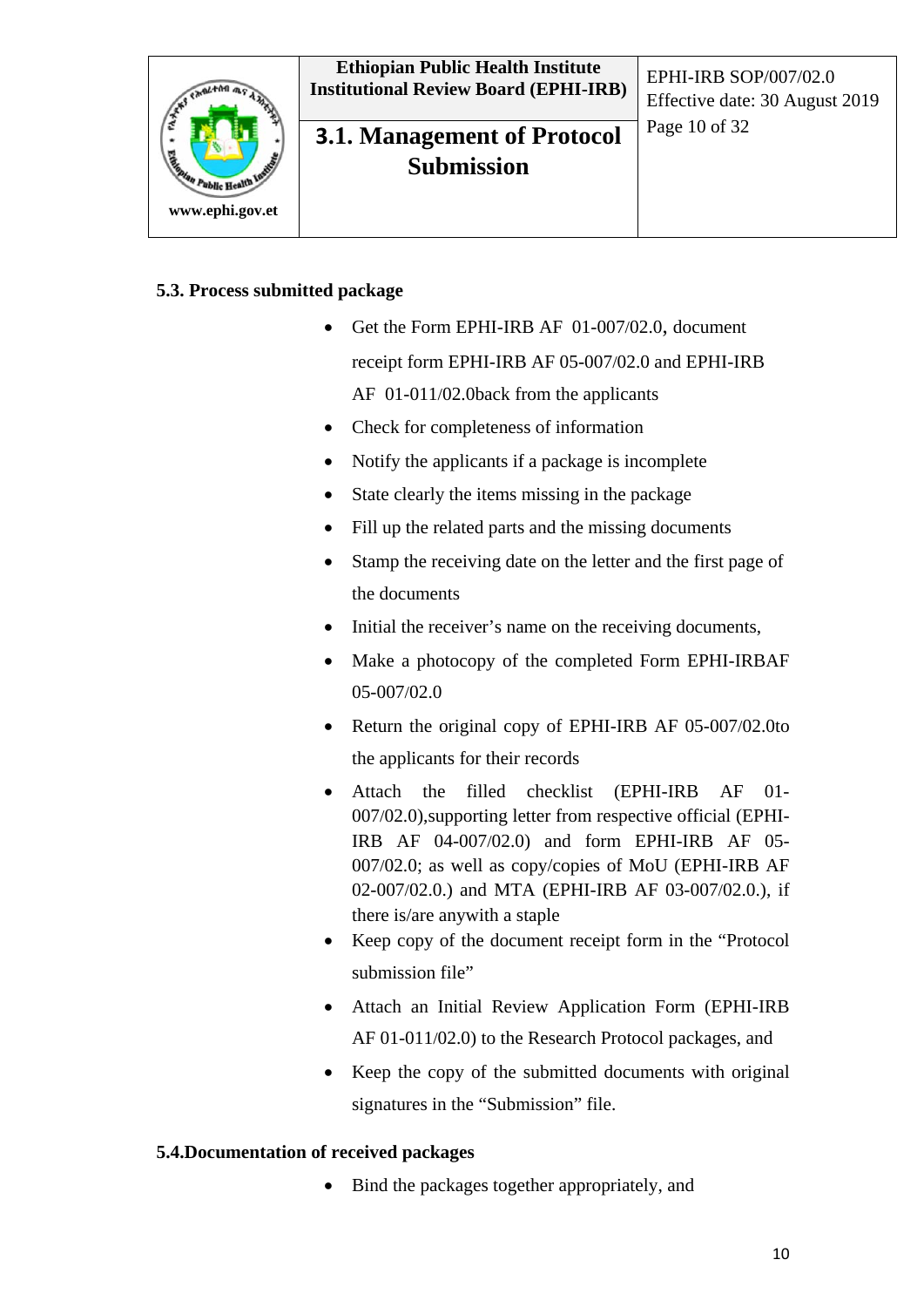

## **3.1. Management of Protocol** Page 10 of 32 **Submission**

Effective date: 30 August 2019

#### **5.3. Process submitted package**

- Get the Form EPHI-IRB AF 01-007/02.0, document receipt form EPHI-IRB AF 05-007/02.0 and EPHI-IRB AF 01-011/02.0back from the applicants
- Check for completeness of information
- Notify the applicants if a package is incomplete
- State clearly the items missing in the package
- Fill up the related parts and the missing documents
- Stamp the receiving date on the letter and the first page of the documents
- Initial the receiver's name on the receiving documents,
- Make a photocopy of the completed Form EPHI-IRBAF 05-007/02.0
- Return the original copy of EPHI-IRB AF 05-007/02.0to the applicants for their records
- Attach the filled checklist (EPHI-IRB AF 01- 007/02.0),supporting letter from respective official (EPHI-IRB AF 04-007/02.0) and form EPHI-IRB AF 05- 007/02.0; as well as copy/copies of MoU (EPHI-IRB AF 02-007/02.0.) and MTA (EPHI-IRB AF 03-007/02.0.), if there is/are anywith a staple
- Keep copy of the document receipt form in the "Protocol submission file"
- Attach an Initial Review Application Form (EPHI-IRB AF 01-011/02.0) to the Research Protocol packages, and
- Keep the copy of the submitted documents with original signatures in the "Submission" file.

#### **5.4.Documentation of received packages**

• Bind the packages together appropriately, and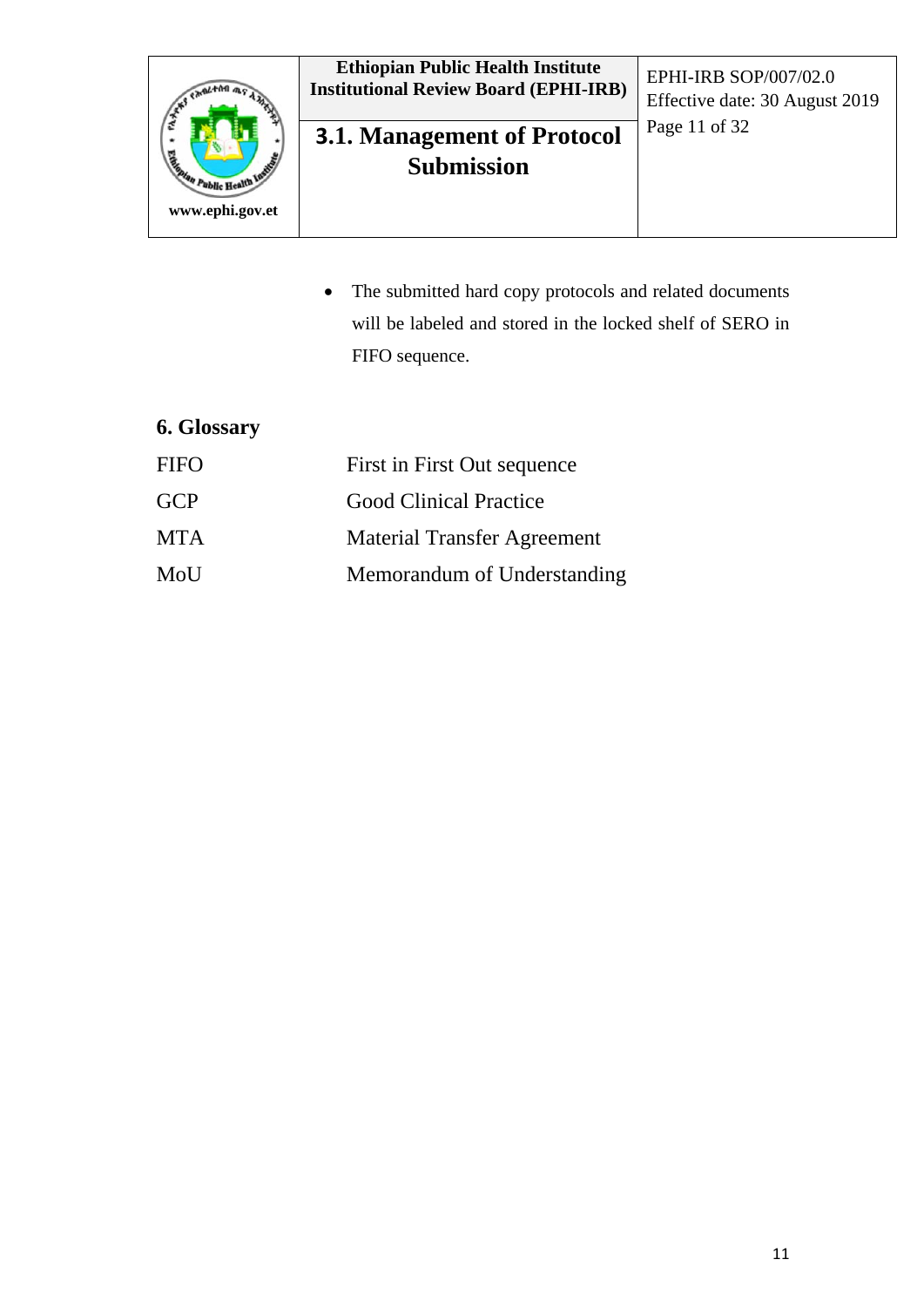

## **3.1. Management of Protocol** Page 11 of 32 **Submission**

Effective date: 30 August 2019

• The submitted hard copy protocols and related documents will be labeled and stored in the locked shelf of SERO in FIFO sequence.

## **6. Glossary**

| <b>FIFO</b> | First in First Out sequence        |
|-------------|------------------------------------|
| <b>GCP</b>  | <b>Good Clinical Practice</b>      |
| <b>MTA</b>  | <b>Material Transfer Agreement</b> |
| MoU         | Memorandum of Understanding        |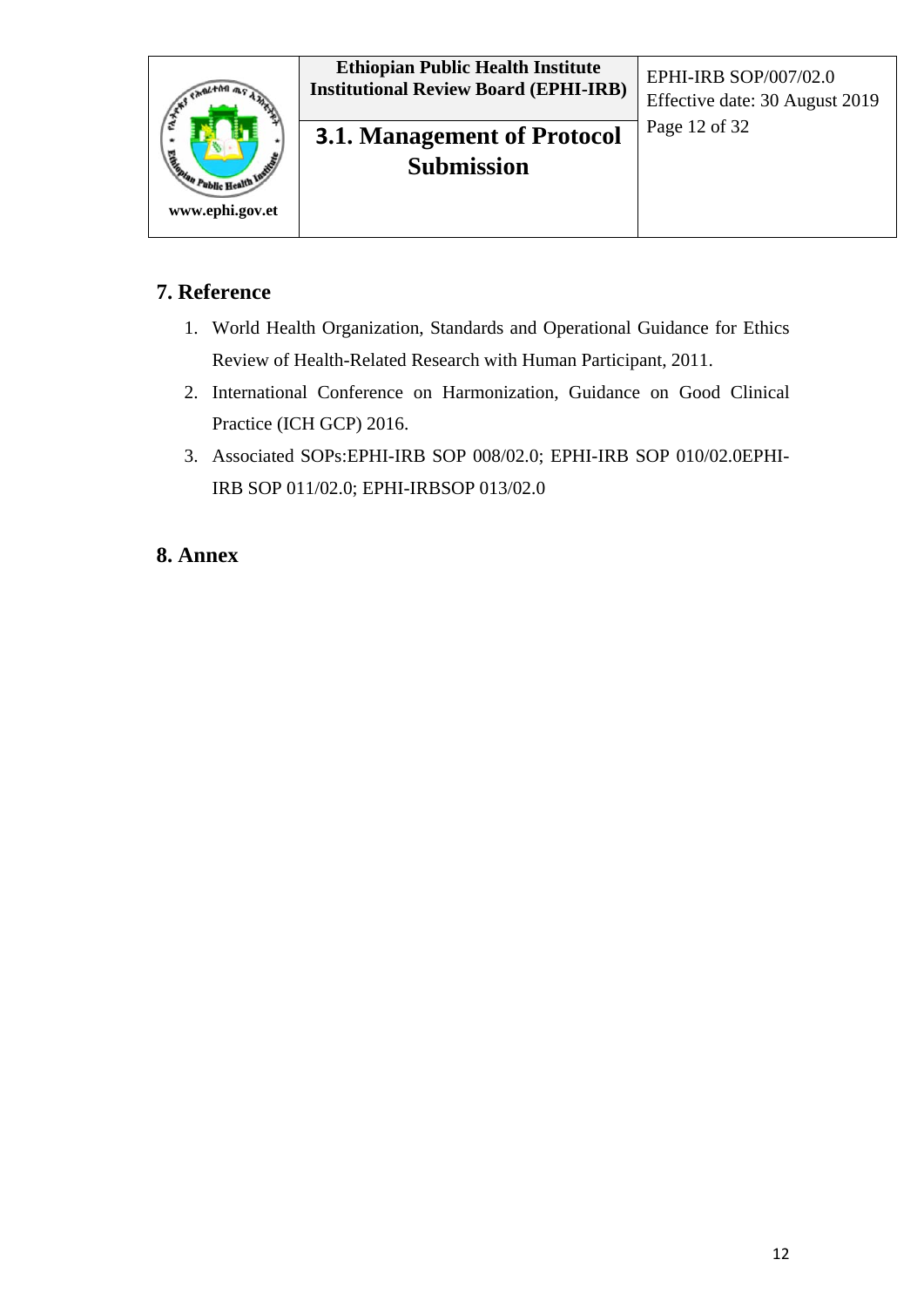

## Page 12 of 32 **3.1. Management of Protocol Submission**

## **7. Reference**

- 1. World Health Organization, Standards and Operational Guidance for Ethics Review of Health-Related Research with Human Participant, 2011.
- 2. International Conference on Harmonization, Guidance on Good Clinical Practice (ICH GCP) 2016.
- 3. Associated SOPs:EPHI-IRB SOP 008/02.0; EPHI-IRB SOP 010/02.0EPHI-IRB SOP 011/02.0; EPHI-IRBSOP 013/02.0

## **8. Annex**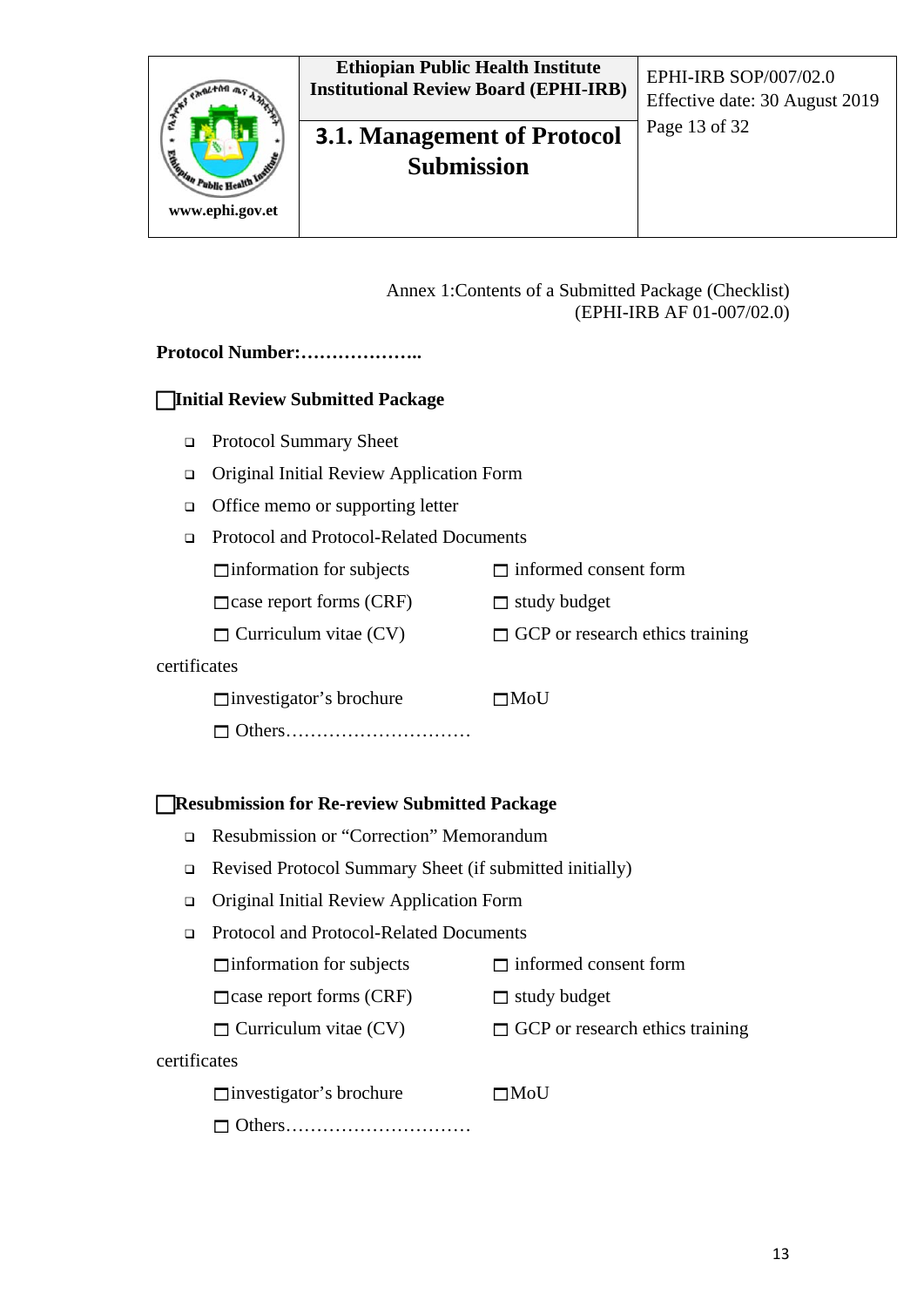

## **3.1. Management of Protocol** Page 13 of 32 **Submission**

Effective date: 30 August 2019

#### Annex 1:Contents of a Submitted Package (Checklist) (EPHI-IRB AF 01-007/02.0)

#### **Protocol Number:………………..**

#### **Initial Review Submitted Package**

- □ Protocol Summary Sheet
- Original Initial Review Application Form
- □ Office memo or supporting letter
- Protocol and Protocol-Related Documents

 $\Box$ information for subjects  $\Box$  informed consent form

 $\Box$  case report forms (CRF)  $\Box$  study budget

 $\Box$  Curriculum vitae (CV)  $\Box$  GCP or research ethics training

#### certificates

 $\Box$ investigator's brochure  $\Box$ MoU

□ Others…………………………

#### **Resubmission for Re-review Submitted Package**

- Resubmission or "Correction" Memorandum
- Revised Protocol Summary Sheet (if submitted initially)
- Original Initial Review Application Form
- Protocol and Protocol-Related Documents
	- $\Box$  information for subjects  $\Box$  informed consent form
	- $\Box$ case report forms (CRF)  $\Box$  study budget
	- $\Box$  Curriculum vitae (CV)  $\Box$  GCP or research ethics training

#### certificates

 $\Box$ investigator's brochure  $\Box$ MoU

```
 Others…………………………
```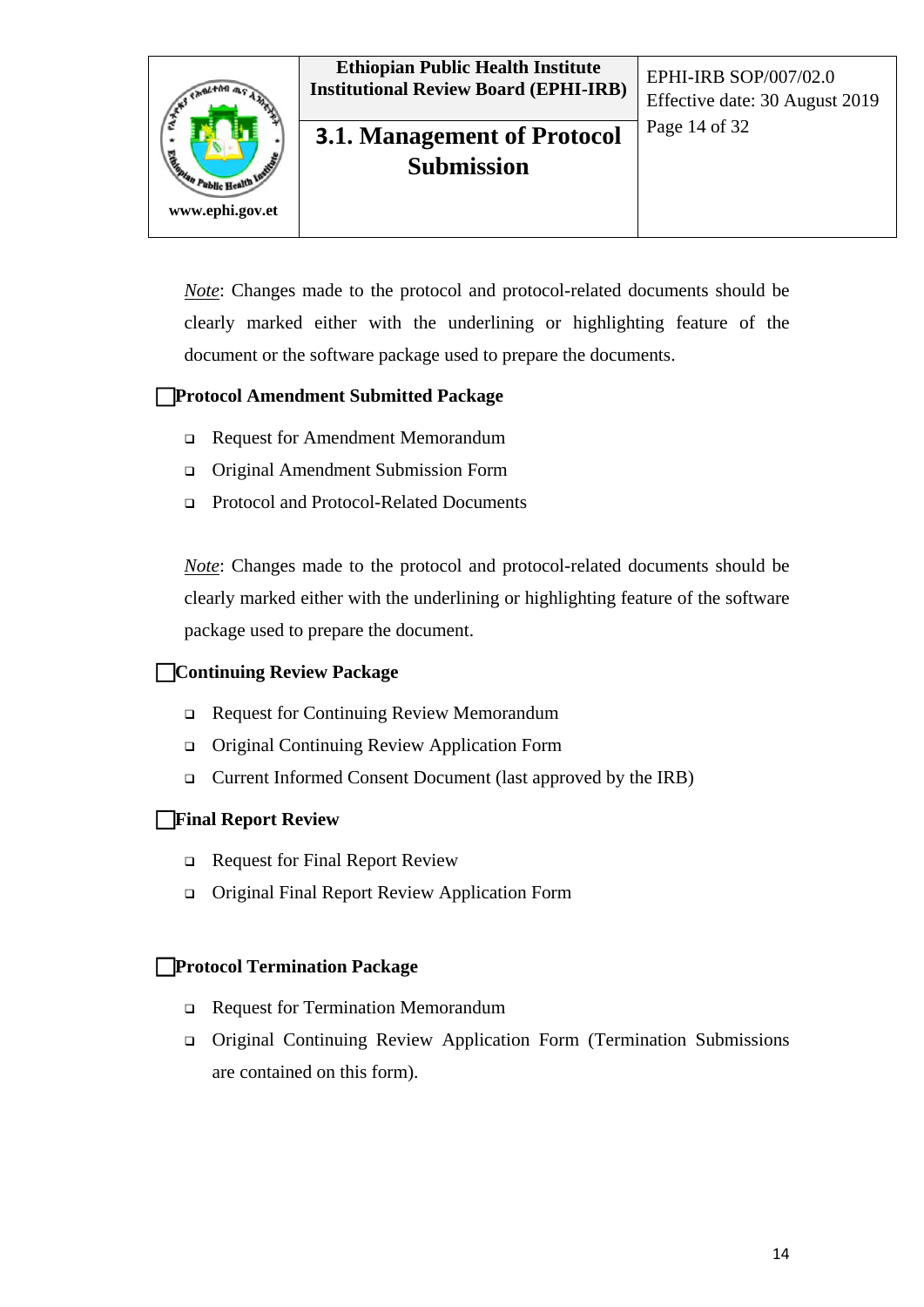

## **3.1. Management of Protocol** <sup>Page 14 of 32</sup> **Submission**

Effective date: 30 August 2019

*Note*: Changes made to the protocol and protocol-related documents should be clearly marked either with the underlining or highlighting feature of the document or the software package used to prepare the documents.

#### **Protocol Amendment Submitted Package**

- Request for Amendment Memorandum
- Original Amendment Submission Form
- Protocol and Protocol-Related Documents

*Note*: Changes made to the protocol and protocol-related documents should be clearly marked either with the underlining or highlighting feature of the software package used to prepare the document.

#### **Continuing Review Package**

- Request for Continuing Review Memorandum
- Original Continuing Review Application Form
- Current Informed Consent Document (last approved by the IRB)

#### **Final Report Review**

- Request for Final Report Review
- Original Final Report Review Application Form

#### **Protocol Termination Package**

- Request for Termination Memorandum
- Original Continuing Review Application Form (Termination Submissions are contained on this form).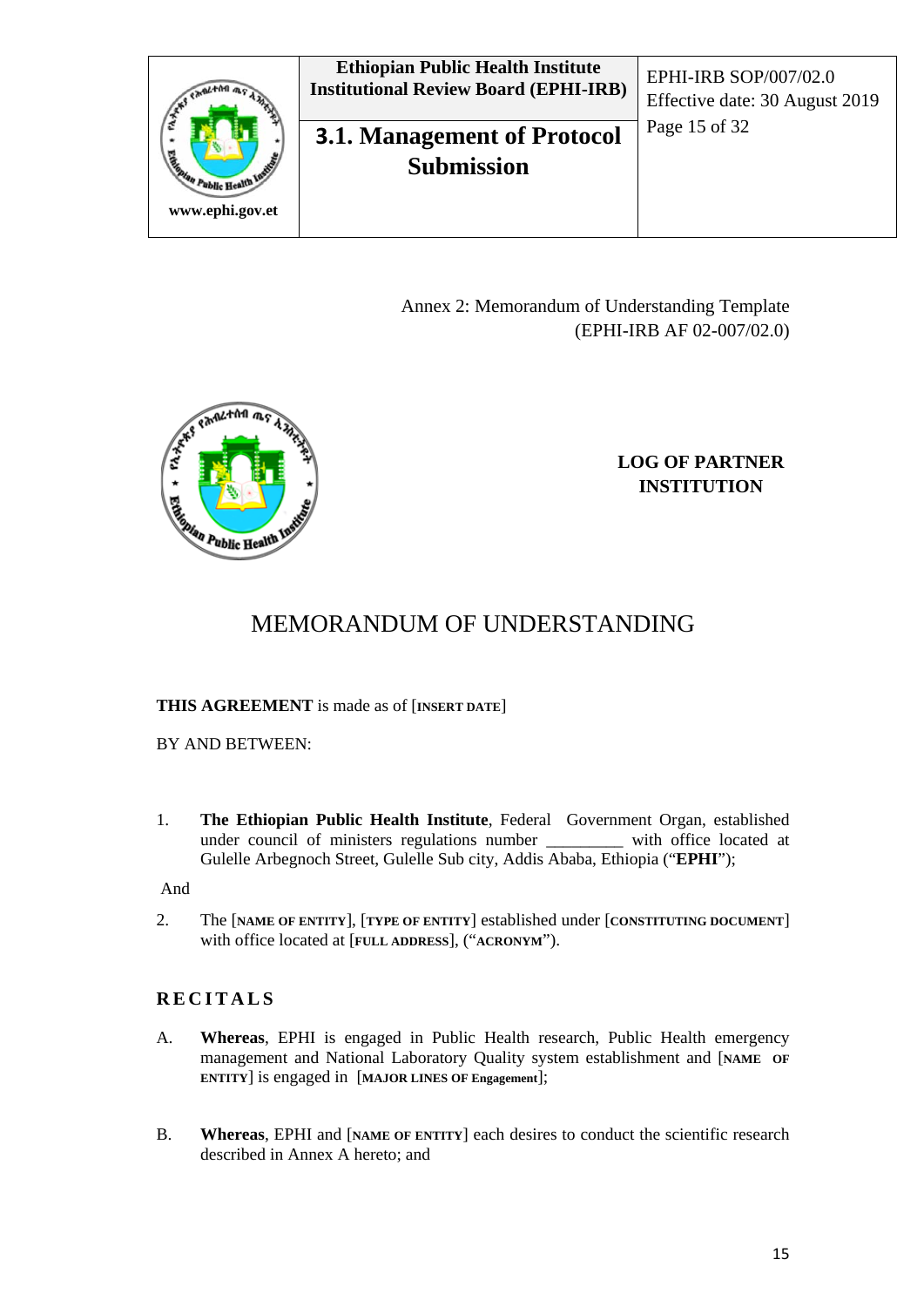

Annex 2: Memorandum of Understanding Template (EPHI-IRB AF 02-007/02.0)



#### **LOG OF PARTNER INSTITUTION**

## MEMORANDUM OF UNDERSTANDING

#### **THIS AGREEMENT** is made as of [**INSERT DATE**]

BY AND BETWEEN:

1. **The Ethiopian Public Health Institute**, Federal Government Organ, established under council of ministers regulations number Gulelle Arbegnoch Street, Gulelle Sub city, Addis Ababa, Ethiopia ("**EPHI**");

And

2. The [**NAME OF ENTITY**], [**TYPE OF ENTITY**] established under [**CONSTITUTING DOCUMENT**] with office located at [**FULL ADDRESS**], ("**ACRONYM**").

#### **RECITALS**

- A. **Whereas**, EPHI is engaged in Public Health research, Public Health emergency management and National Laboratory Quality system establishment and [**NAME OF ENTITY**] is engaged in [**MAJOR LINES OF Engagement**];
- B. **Whereas**, EPHI and [**NAME OF ENTITY**] each desires to conduct the scientific research described in Annex A hereto; and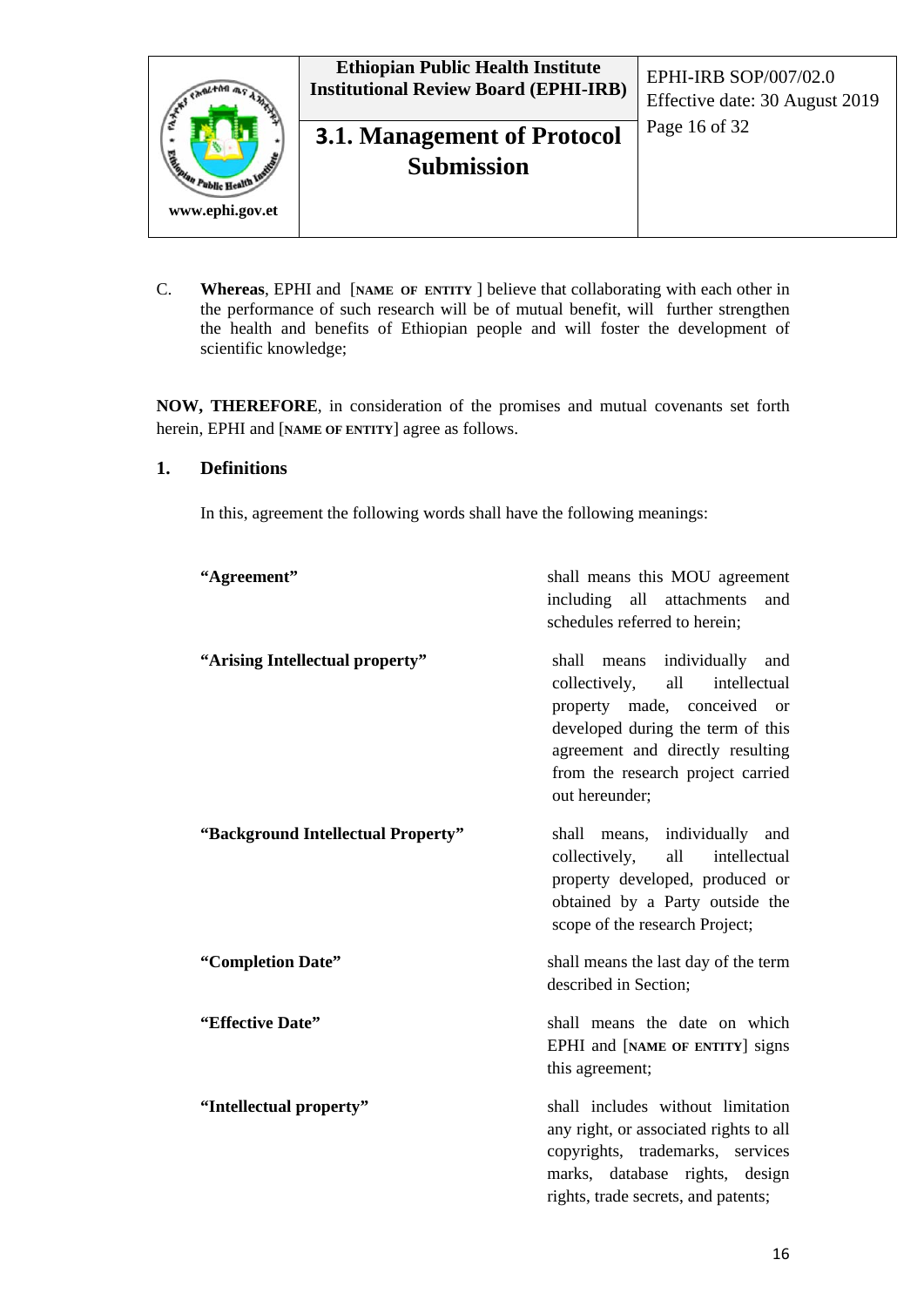

C. **Whereas**, EPHI and [**NAME OF ENTITY** ] believe that collaborating with each other in the performance of such research will be of mutual benefit, will further strengthen the health and benefits of Ethiopian people and will foster the development of scientific knowledge;

**NOW, THEREFORE**, in consideration of the promises and mutual covenants set forth herein, EPHI and [**NAME OF ENTITY**] agree as follows.

#### **1. Definitions**

In this, agreement the following words shall have the following meanings:

| "Agreement"                        | shall means this MOU agreement<br>including<br>all<br>attachments<br>and<br>schedules referred to herein;                                                                                                                                          |
|------------------------------------|----------------------------------------------------------------------------------------------------------------------------------------------------------------------------------------------------------------------------------------------------|
| "Arising Intellectual property"    | shall<br>individually and<br>means<br>all<br>collectively,<br>intellectual<br>property made, conceived<br>$\alpha$<br>developed during the term of this<br>agreement and directly resulting<br>from the research project carried<br>out hereunder; |
| "Background Intellectual Property" | means, individually and<br>shall<br>all<br>intellectual<br>collectively,<br>property developed, produced or<br>obtained by a Party outside the<br>scope of the research Project;                                                                   |
| "Completion Date"                  | shall means the last day of the term<br>described in Section;                                                                                                                                                                                      |
| "Effective Date"                   | shall means the date on which<br>EPHI and [NAME OF ENTITY] signs<br>this agreement;                                                                                                                                                                |
| "Intellectual property"            | shall includes without limitation<br>any right, or associated rights to all<br>copyrights, trademarks, services<br>marks, database rights, design<br>rights, trade secrets, and patents;                                                           |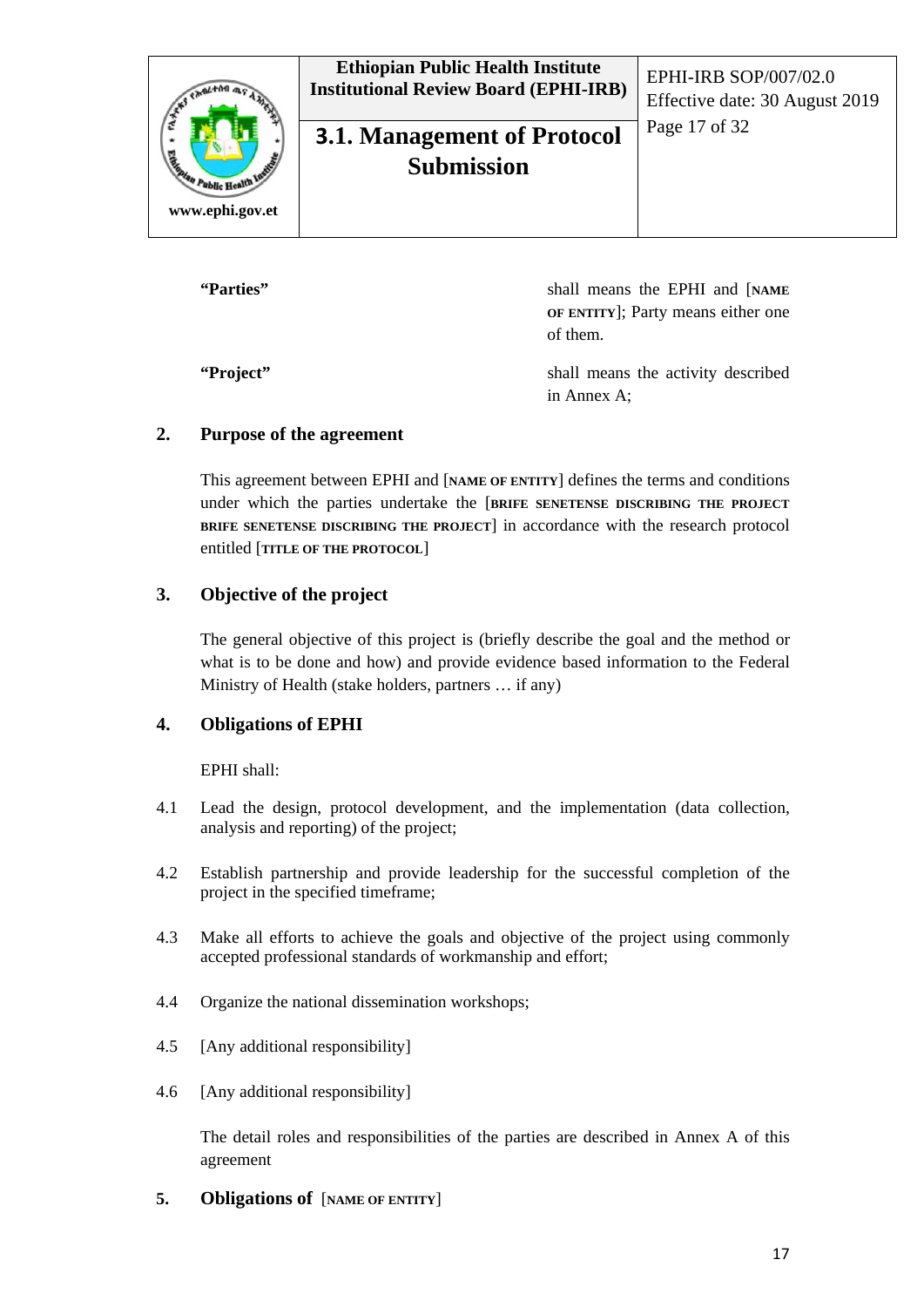

**"Parties"** shall means the EPHI and [**NAME OF ENTITY**]; Party means either one of them.

**"Project"** shall means the activity described in Annex A;

#### **2. Purpose of the agreement**

This agreement between EPHI and [**NAME OF ENTITY**] defines the terms and conditions under which the parties undertake the [**BRIFE SENETENSE DISCRIBING THE PROJECT BRIFE SENETENSE DISCRIBING THE PROJECT**] in accordance with the research protocol entitled [**TITLE OF THE PROTOCOL**]

#### **3. Objective of the project**

The general objective of this project is (briefly describe the goal and the method or what is to be done and how) and provide evidence based information to the Federal Ministry of Health (stake holders, partners … if any)

#### **4. Obligations of EPHI**

EPHI shall:

- 4.1 Lead the design, protocol development, and the implementation (data collection, analysis and reporting) of the project;
- 4.2 Establish partnership and provide leadership for the successful completion of the project in the specified timeframe;
- 4.3 Make all efforts to achieve the goals and objective of the project using commonly accepted professional standards of workmanship and effort;
- 4.4 Organize the national dissemination workshops;
- 4.5 [Any additional responsibility]
- 4.6 [Any additional responsibility]

The detail roles and responsibilities of the parties are described in Annex A of this agreement

**5. Obligations of** [**NAME OF ENTITY**]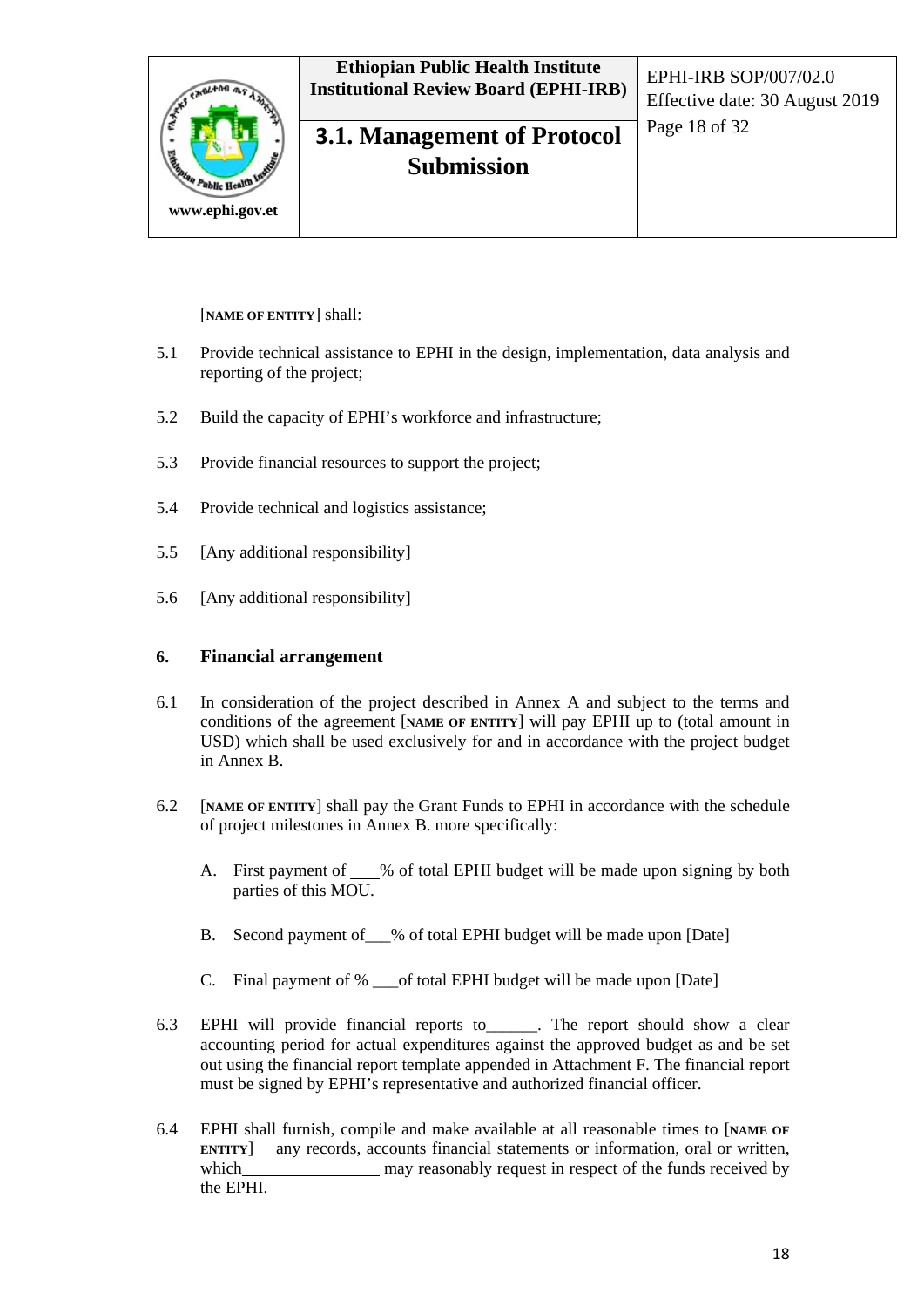

#### [**NAME OF ENTITY**] shall:

- 5.1 Provide technical assistance to EPHI in the design, implementation, data analysis and reporting of the project;
- 5.2 Build the capacity of EPHI's workforce and infrastructure;
- 5.3 Provide financial resources to support the project;
- 5.4 Provide technical and logistics assistance;
- 5.5 [Any additional responsibility]
- 5.6 [Any additional responsibility]

#### **6. Financial arrangement**

- 6.1 In consideration of the project described in Annex A and subject to the terms and conditions of the agreement [**NAME OF ENTITY**] will pay EPHI up to (total amount in USD) which shall be used exclusively for and in accordance with the project budget in Annex B.
- 6.2 [**NAME OF ENTITY**] shall pay the Grant Funds to EPHI in accordance with the schedule of project milestones in Annex B. more specifically:
	- A. First payment of  $\_\_\%$  of total EPHI budget will be made upon signing by both parties of this MOU.
	- B. Second payment of % of total EPHI budget will be made upon [Date]
	- C. Final payment of % of total EPHI budget will be made upon [Date]
- 6.3 EPHI will provide financial reports to\_\_\_\_\_\_. The report should show a clear accounting period for actual expenditures against the approved budget as and be set out using the financial report template appended in Attachment F. The financial report must be signed by EPHI's representative and authorized financial officer.
- 6.4 EPHI shall furnish, compile and make available at all reasonable times to [**NAME OF ENTITY**] any records, accounts financial statements or information, oral or written, which may reasonably request in respect of the funds received by the EPHI.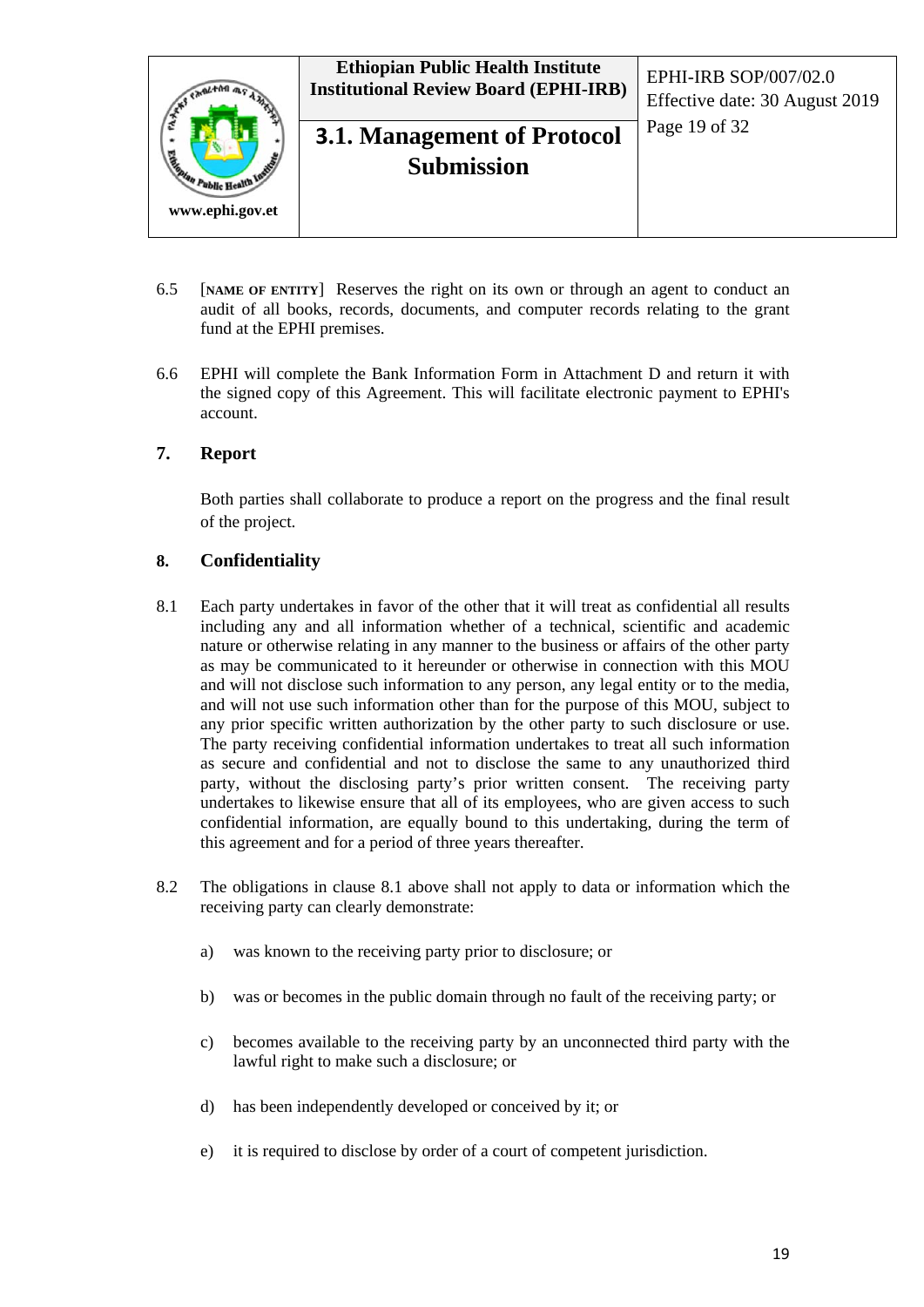

- 6.5 [**NAME OF ENTITY**] Reserves the right on its own or through an agent to conduct an audit of all books, records, documents, and computer records relating to the grant fund at the EPHI premises.
- 6.6 EPHI will complete the Bank Information Form in Attachment D and return it with the signed copy of this Agreement. This will facilitate electronic payment to EPHI's account.

#### **7. Report**

Both parties shall collaborate to produce a report on the progress and the final result of the project.

#### **8. Confidentiality**

- 8.1 Each party undertakes in favor of the other that it will treat as confidential all results including any and all information whether of a technical, scientific and academic nature or otherwise relating in any manner to the business or affairs of the other party as may be communicated to it hereunder or otherwise in connection with this MOU and will not disclose such information to any person, any legal entity or to the media, and will not use such information other than for the purpose of this MOU, subject to any prior specific written authorization by the other party to such disclosure or use. The party receiving confidential information undertakes to treat all such information as secure and confidential and not to disclose the same to any unauthorized third party, without the disclosing party's prior written consent. The receiving party undertakes to likewise ensure that all of its employees, who are given access to such confidential information, are equally bound to this undertaking, during the term of this agreement and for a period of three years thereafter.
- 8.2 The obligations in clause 8.1 above shall not apply to data or information which the receiving party can clearly demonstrate:
	- a) was known to the receiving party prior to disclosure; or
	- b) was or becomes in the public domain through no fault of the receiving party; or
	- c) becomes available to the receiving party by an unconnected third party with the lawful right to make such a disclosure; or
	- d) has been independently developed or conceived by it; or
	- e) it is required to disclose by order of a court of competent jurisdiction.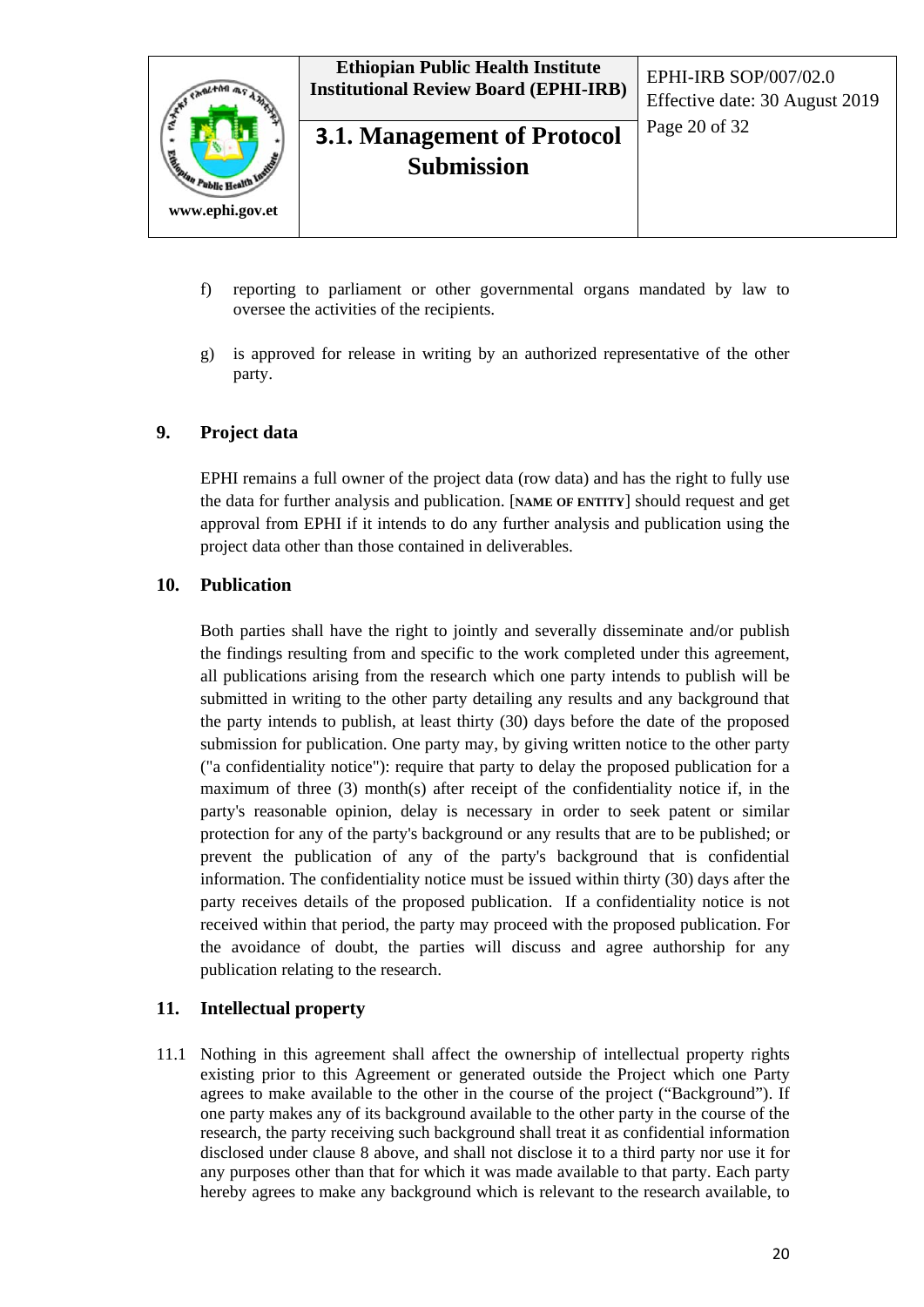

## **3.1. Management of Protocol**  $\left[\begin{array}{cc} \text{Page 20 of 32} \end{array}\right]$ **Submission**

- f) reporting to parliament or other governmental organs mandated by law to oversee the activities of the recipients.
- g) is approved for release in writing by an authorized representative of the other party.

#### **9. Project data**

EPHI remains a full owner of the project data (row data) and has the right to fully use the data for further analysis and publication. [**NAME OF ENTITY**] should request and get approval from EPHI if it intends to do any further analysis and publication using the project data other than those contained in deliverables.

#### **10. Publication**

Both parties shall have the right to jointly and severally disseminate and/or publish the findings resulting from and specific to the work completed under this agreement, all publications arising from the research which one party intends to publish will be submitted in writing to the other party detailing any results and any background that the party intends to publish, at least thirty (30) days before the date of the proposed submission for publication. One party may, by giving written notice to the other party ("a confidentiality notice"): require that party to delay the proposed publication for a maximum of three (3) month(s) after receipt of the confidentiality notice if, in the party's reasonable opinion, delay is necessary in order to seek patent or similar protection for any of the party's background or any results that are to be published; or prevent the publication of any of the party's background that is confidential information. The confidentiality notice must be issued within thirty (30) days after the party receives details of the proposed publication. If a confidentiality notice is not received within that period, the party may proceed with the proposed publication. For the avoidance of doubt, the parties will discuss and agree authorship for any publication relating to the research.

#### **11. Intellectual property**

11.1 Nothing in this agreement shall affect the ownership of intellectual property rights existing prior to this Agreement or generated outside the Project which one Party agrees to make available to the other in the course of the project ("Background"). If one party makes any of its background available to the other party in the course of the research, the party receiving such background shall treat it as confidential information disclosed under clause 8 above, and shall not disclose it to a third party nor use it for any purposes other than that for which it was made available to that party. Each party hereby agrees to make any background which is relevant to the research available, to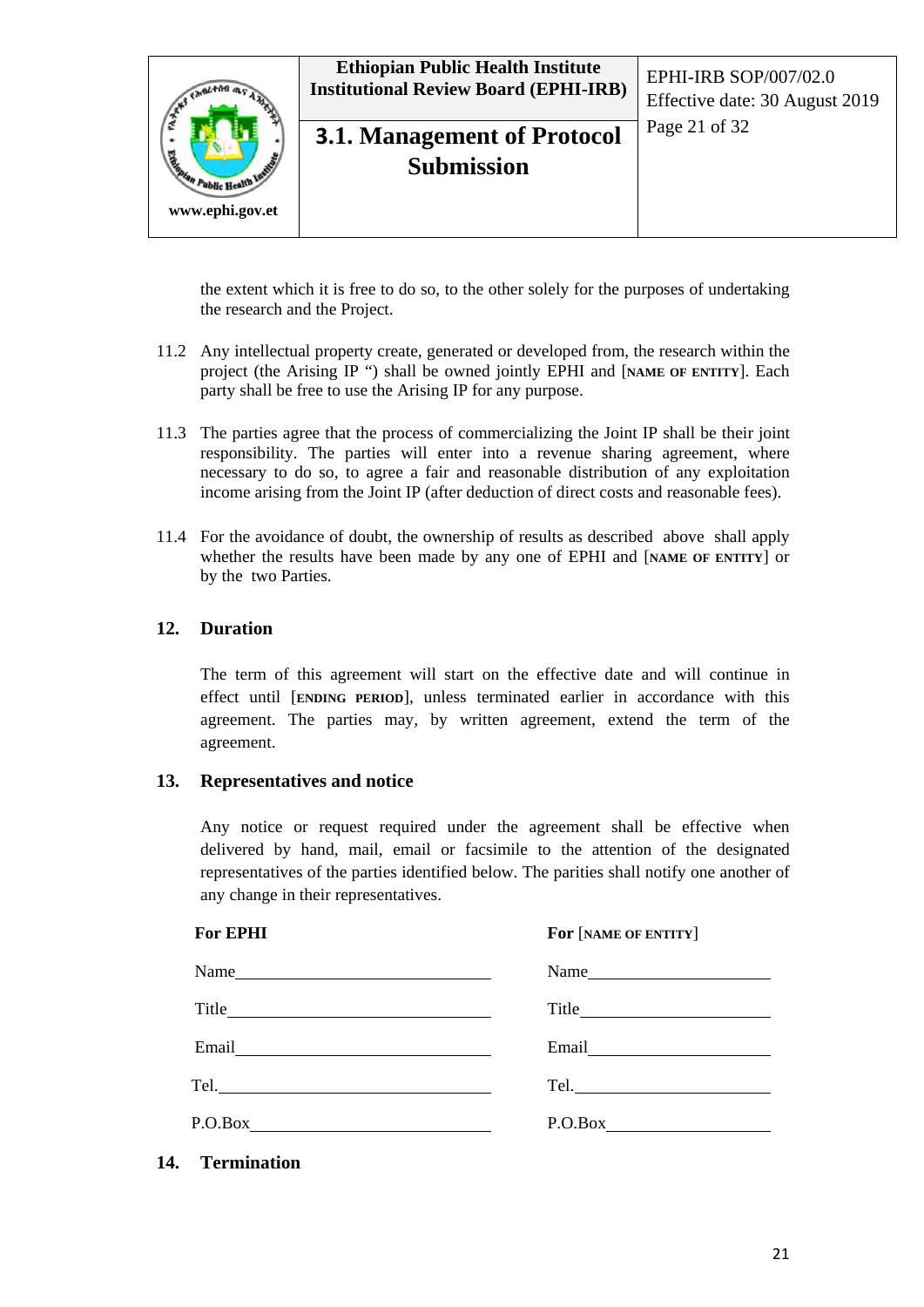

the extent which it is free to do so, to the other solely for the purposes of undertaking the research and the Project.

- 11.2 Any intellectual property create, generated or developed from, the research within the project (the Arising IP ") shall be owned jointly EPHI and [**NAME OF ENTITY**]. Each party shall be free to use the Arising IP for any purpose.
- 11.3 The parties agree that the process of commercializing the Joint IP shall be their joint responsibility. The parties will enter into a revenue sharing agreement, where necessary to do so, to agree a fair and reasonable distribution of any exploitation income arising from the Joint IP (after deduction of direct costs and reasonable fees).
- 11.4 For the avoidance of doubt, the ownership of results as described above shall apply whether the results have been made by any one of EPHI and [**NAME OF ENTITY**] or by the two Parties.

#### **12. Duration**

The term of this agreement will start on the effective date and will continue in effect until [**ENDING PERIOD**], unless terminated earlier in accordance with this agreement. The parties may, by written agreement, extend the term of the agreement.

#### **13. Representatives and notice**

Any notice or request required under the agreement shall be effective when delivered by hand, mail, email or facsimile to the attention of the designated representatives of the parties identified below. The parities shall notify one another of any change in their representatives.

 **For EPHI For** [**NAME OF ENTITY**]

|         | Name $\qquad \qquad$                                    |
|---------|---------------------------------------------------------|
| Title   | $\text{Title} \qquad \qquad \qquad \qquad \text{Title}$ |
|         |                                                         |
|         |                                                         |
| P.O.Box | P.O.Box                                                 |

**14. Termination**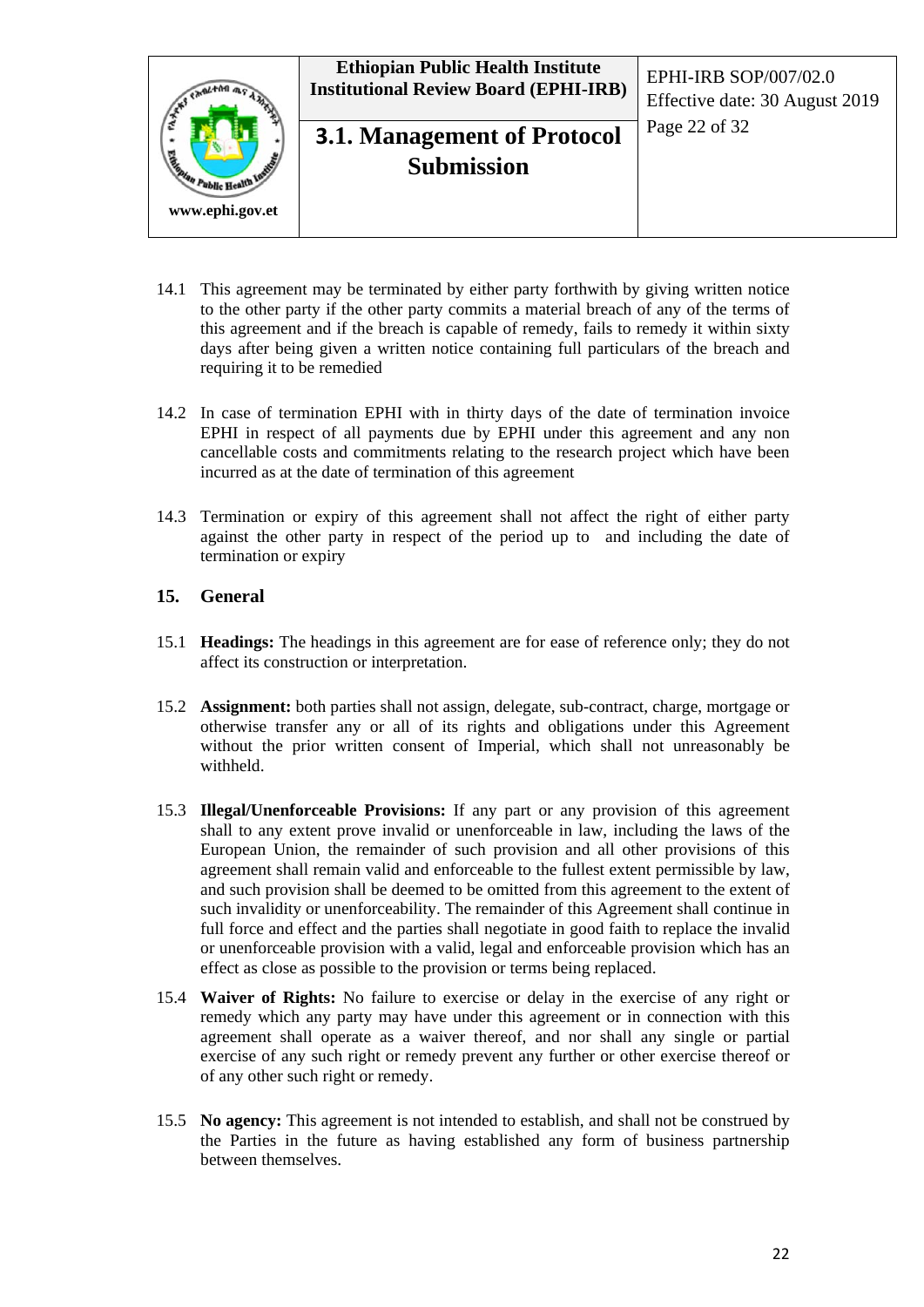

- 14.1 This agreement may be terminated by either party forthwith by giving written notice to the other party if the other party commits a material breach of any of the terms of this agreement and if the breach is capable of remedy, fails to remedy it within sixty days after being given a written notice containing full particulars of the breach and requiring it to be remedied
- 14.2 In case of termination EPHI with in thirty days of the date of termination invoice EPHI in respect of all payments due by EPHI under this agreement and any non cancellable costs and commitments relating to the research project which have been incurred as at the date of termination of this agreement
- 14.3 Termination or expiry of this agreement shall not affect the right of either party against the other party in respect of the period up to and including the date of termination or expiry

#### **15. General**

- 15.1 **Headings:** The headings in this agreement are for ease of reference only; they do not affect its construction or interpretation.
- 15.2 **Assignment:** both parties shall not assign, delegate, sub-contract, charge, mortgage or otherwise transfer any or all of its rights and obligations under this Agreement without the prior written consent of Imperial, which shall not unreasonably be withheld.
- 15.3 **Illegal/Unenforceable Provisions:** If any part or any provision of this agreement shall to any extent prove invalid or unenforceable in law, including the laws of the European Union, the remainder of such provision and all other provisions of this agreement shall remain valid and enforceable to the fullest extent permissible by law, and such provision shall be deemed to be omitted from this agreement to the extent of such invalidity or unenforceability. The remainder of this Agreement shall continue in full force and effect and the parties shall negotiate in good faith to replace the invalid or unenforceable provision with a valid, legal and enforceable provision which has an effect as close as possible to the provision or terms being replaced.
- 15.4 **Waiver of Rights:** No failure to exercise or delay in the exercise of any right or remedy which any party may have under this agreement or in connection with this agreement shall operate as a waiver thereof, and nor shall any single or partial exercise of any such right or remedy prevent any further or other exercise thereof or of any other such right or remedy.
- 15.5 **No agency:** This agreement is not intended to establish, and shall not be construed by the Parties in the future as having established any form of business partnership between themselves.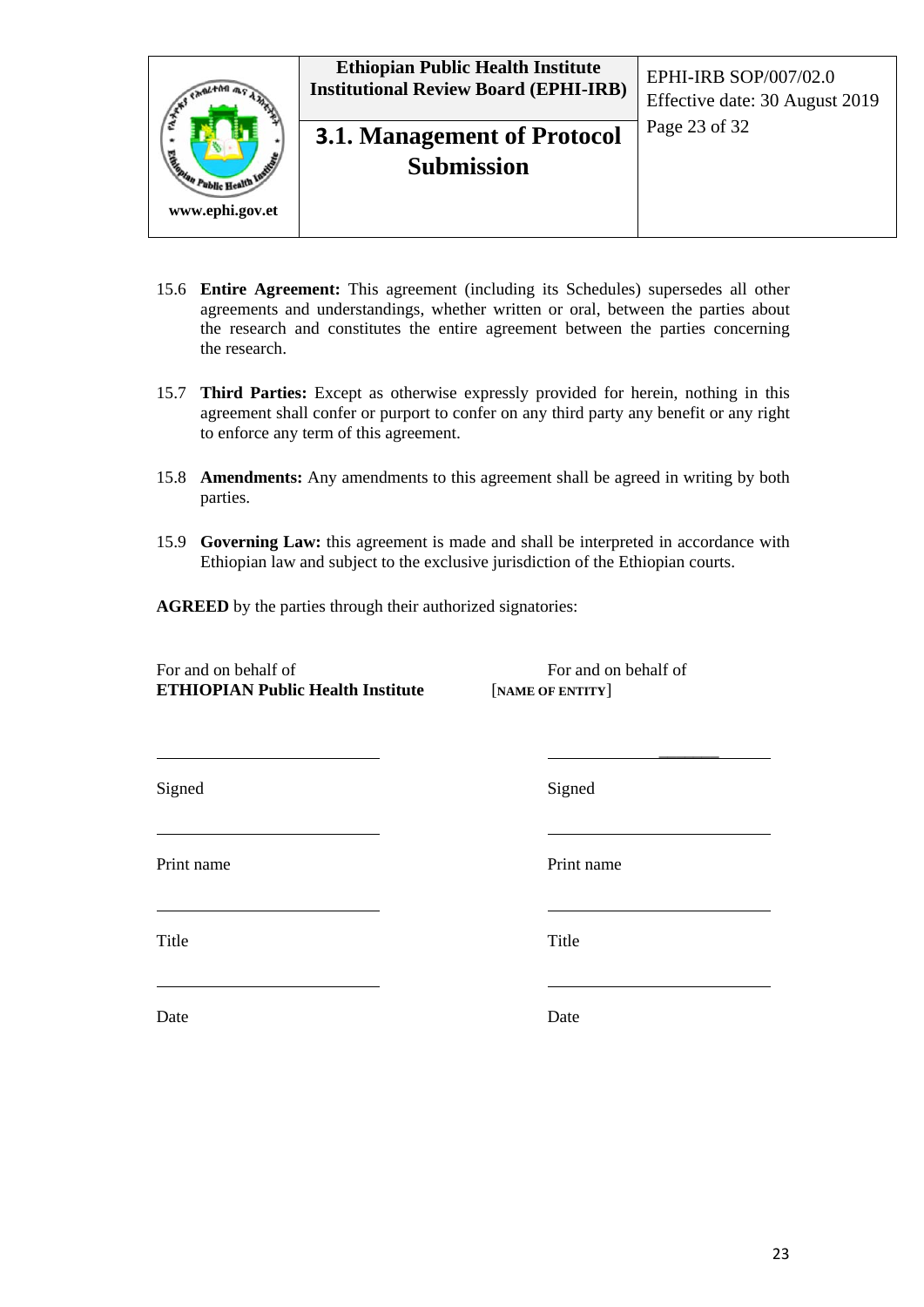

- 15.6 **Entire Agreement:** This agreement (including its Schedules) supersedes all other agreements and understandings, whether written or oral, between the parties about the research and constitutes the entire agreement between the parties concerning the research.
- 15.7 **Third Parties:** Except as otherwise expressly provided for herein, nothing in this agreement shall confer or purport to confer on any third party any benefit or any right to enforce any term of this agreement.
- 15.8 **Amendments:** Any amendments to this agreement shall be agreed in writing by both parties.
- 15.9 **Governing Law:** this agreement is made and shall be interpreted in accordance with Ethiopian law and subject to the exclusive jurisdiction of the Ethiopian courts.
- **AGREED** by the parties through their authorized signatories:

For and on behalf of For and on behalf of **ETHIOPIAN Public Health Institute** [**NAME OF ENTITY**]

 $\overline{\phantom{a}}$ 

Print name Print name

Title Title

Signed Signed Signed

Date Date Date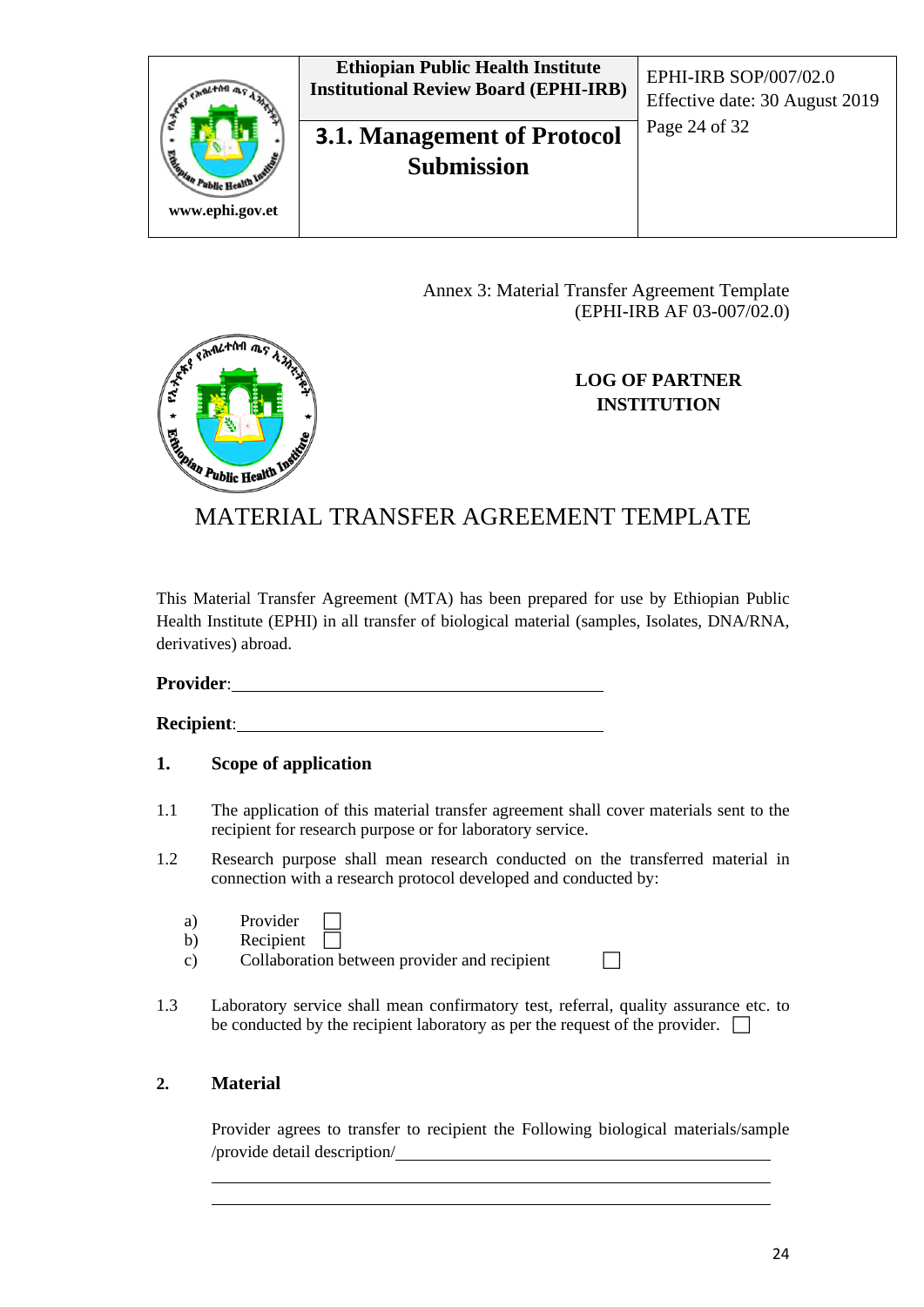

Annex 3: Material Transfer Agreement Template (EPHI-IRB AF 03-007/02.0)



# Edition Public Health MATERIAL TRANSFER AGREEMENT TEMPLATE

This Material Transfer Agreement (MTA) has been prepared for use by Ethiopian Public Health Institute (EPHI) in all transfer of biological material (samples, Isolates, DNA/RNA, derivatives) abroad.

**Provider**:

**Recipient**:

**CANLTAN MS** 

#### **1. Scope of application**

- 1.1 The application of this material transfer agreement shall cover materials sent to the recipient for research purpose or for laboratory service.
- 1.2 Research purpose shall mean research conducted on the transferred material in connection with a research protocol developed and conducted by:
	- a) Provider
	- b) Recipient  $\Box$
	- c) Collaboration between provider and recipient  $\Box$
- 1.3 Laboratory service shall mean confirmatory test, referral, quality assurance etc. to be conducted by the recipient laboratory as per the request of the provider.  $\Box$

#### **2. Material**

Provider agrees to transfer to recipient the Following biological materials/sample /provide detail description/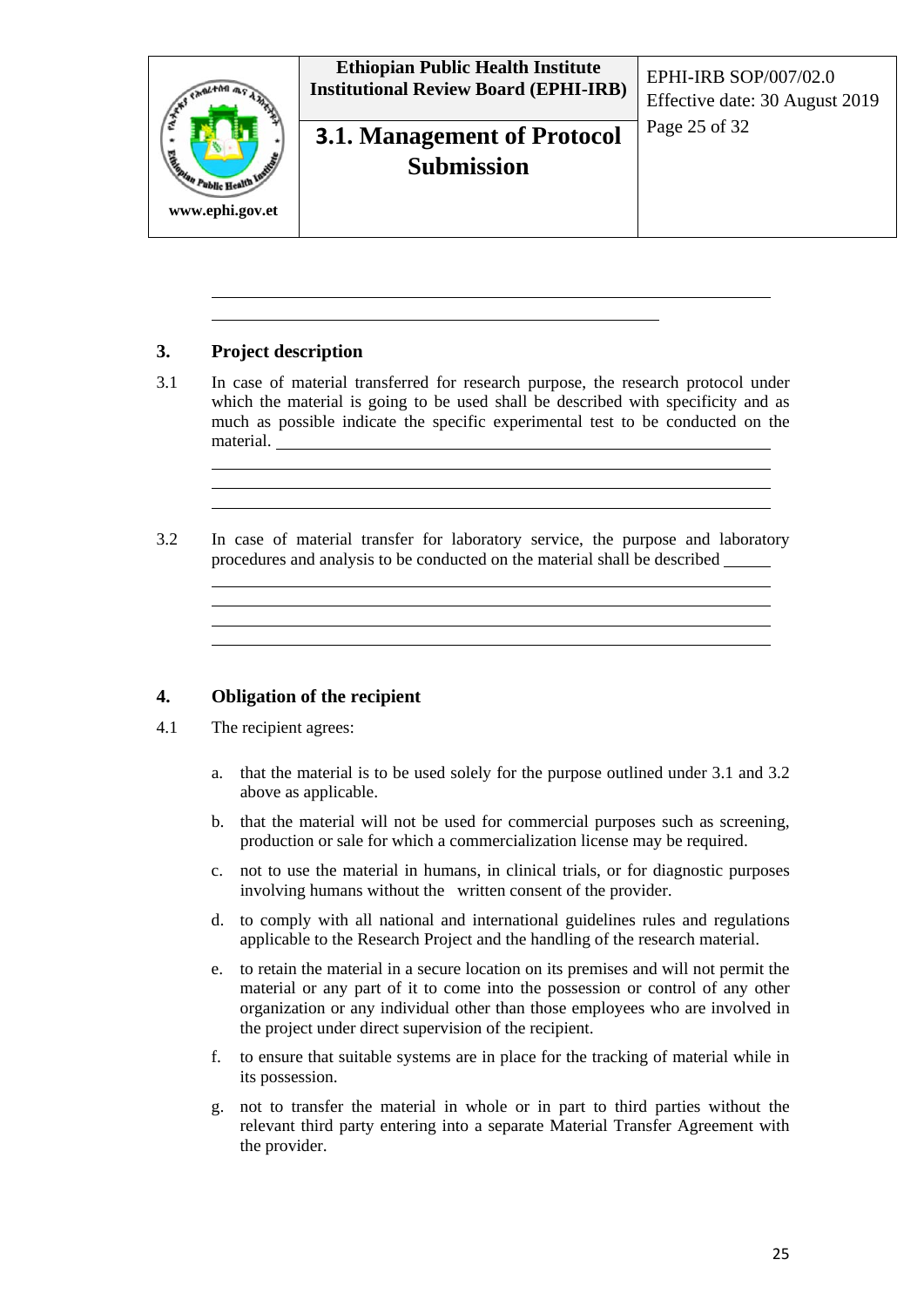

#### **3. Project description**

- 3.1 In case of material transferred for research purpose, the research protocol under which the material is going to be used shall be described with specificity and as much as possible indicate the specific experimental test to be conducted on the material.
- 3.2 In case of material transfer for laboratory service, the purpose and laboratory procedures and analysis to be conducted on the material shall be described

#### **4. Obligation of the recipient**

- 4.1 The recipient agrees:
	- a. that the material is to be used solely for the purpose outlined under 3.1 and 3.2 above as applicable.
	- b. that the material will not be used for commercial purposes such as screening, production or sale for which a commercialization license may be required.
	- c. not to use the material in humans, in clinical trials, or for diagnostic purposes involving humans without the written consent of the provider.
	- d. to comply with all national and international guidelines rules and regulations applicable to the Research Project and the handling of the research material.
	- e. to retain the material in a secure location on its premises and will not permit the material or any part of it to come into the possession or control of any other organization or any individual other than those employees who are involved in the project under direct supervision of the recipient.
	- f. to ensure that suitable systems are in place for the tracking of material while in its possession.
	- g. not to transfer the material in whole or in part to third parties without the relevant third party entering into a separate Material Transfer Agreement with the provider.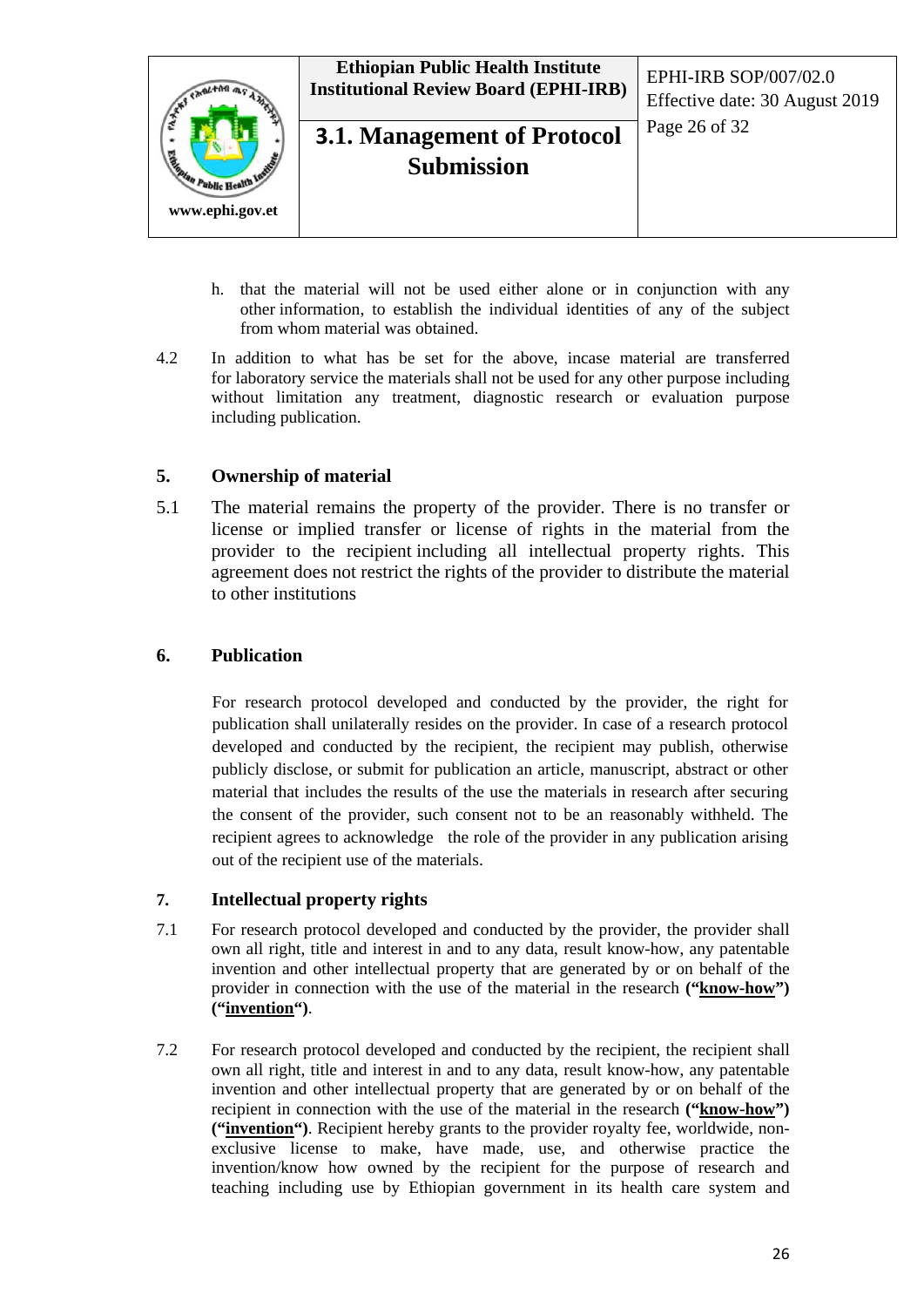

- h. that the material will not be used either alone or in conjunction with any other information, to establish the individual identities of any of the subject from whom material was obtained.
- 4.2 In addition to what has be set for the above, incase material are transferred for laboratory service the materials shall not be used for any other purpose including without limitation any treatment, diagnostic research or evaluation purpose including publication.

#### **5. Ownership of material**

5.1 The material remains the property of the provider. There is no transfer or license or implied transfer or license of rights in the material from the provider to the recipient including all intellectual property rights. This agreement does not restrict the rights of the provider to distribute the material to other institutions

#### **6. Publication**

For research protocol developed and conducted by the provider, the right for publication shall unilaterally resides on the provider. In case of a research protocol developed and conducted by the recipient, the recipient may publish, otherwise publicly disclose, or submit for publication an article, manuscript, abstract or other material that includes the results of the use the materials in research after securing the consent of the provider, such consent not to be an reasonably withheld. The recipient agrees to acknowledge the role of the provider in any publication arising out of the recipient use of the materials.

#### **7. Intellectual property rights**

- 7.1 For research protocol developed and conducted by the provider, the provider shall own all right, title and interest in and to any data, result know-how, any patentable invention and other intellectual property that are generated by or on behalf of the provider in connection with the use of the material in the research **("know-how") ("invention")**.
- 7.2 For research protocol developed and conducted by the recipient, the recipient shall own all right, title and interest in and to any data, result know-how, any patentable invention and other intellectual property that are generated by or on behalf of the recipient in connection with the use of the material in the research **("know-how") ("invention")**. Recipient hereby grants to the provider royalty fee, worldwide, nonexclusive license to make, have made, use, and otherwise practice the invention/know how owned by the recipient for the purpose of research and teaching including use by Ethiopian government in its health care system and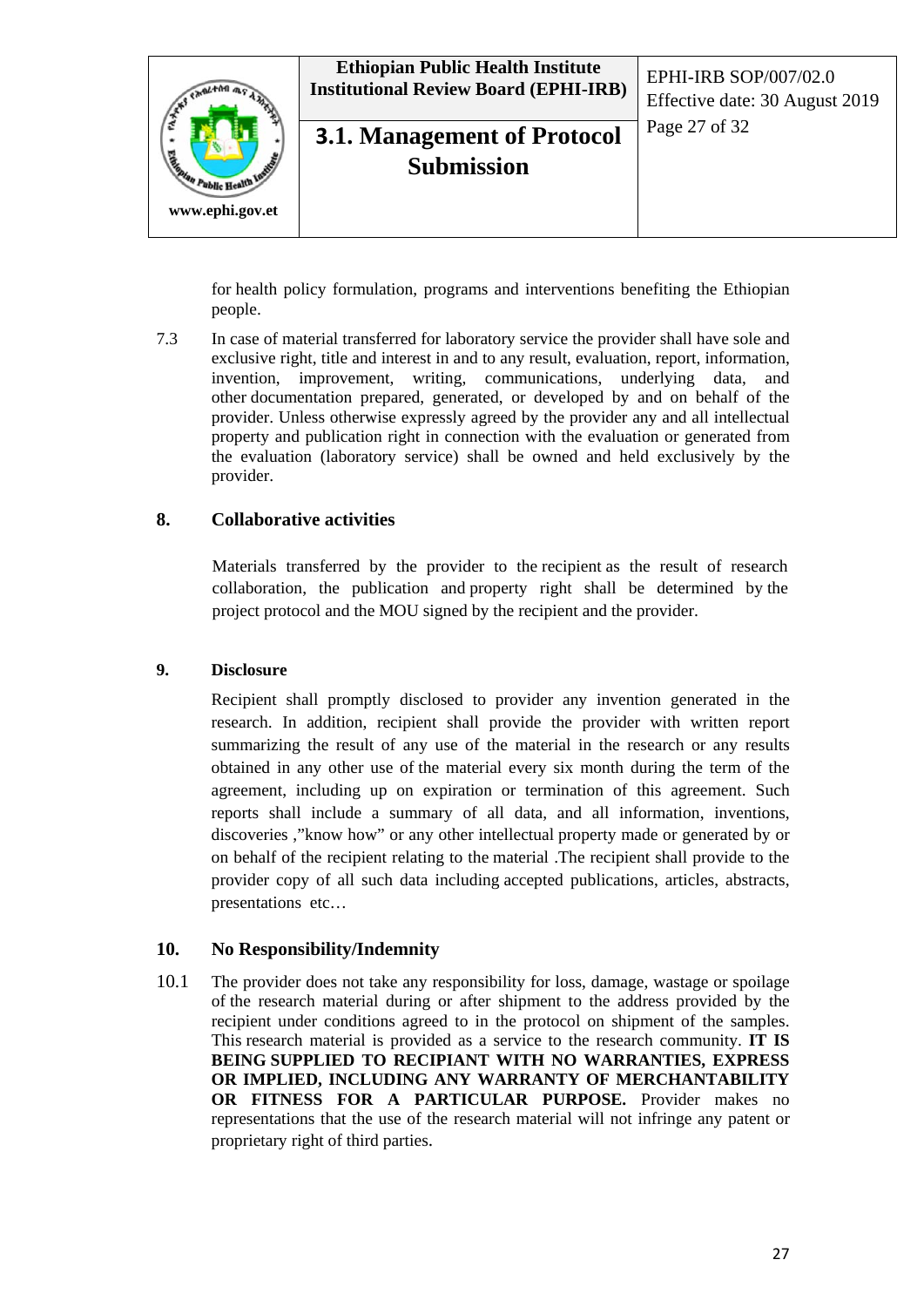

for health policy formulation, programs and interventions benefiting the Ethiopian people.

7.3 In case of material transferred for laboratory service the provider shall have sole and exclusive right, title and interest in and to any result, evaluation, report, information, invention, improvement, writing, communications, underlying data, and other documentation prepared, generated, or developed by and on behalf of the provider. Unless otherwise expressly agreed by the provider any and all intellectual property and publication right in connection with the evaluation or generated from the evaluation (laboratory service) shall be owned and held exclusively by the provider.

#### **8. Collaborative activities**

Materials transferred by the provider to the recipient as the result of research collaboration, the publication and property right shall be determined by the project protocol and the MOU signed by the recipient and the provider.

#### **9. Disclosure**

Recipient shall promptly disclosed to provider any invention generated in the research. In addition, recipient shall provide the provider with written report summarizing the result of any use of the material in the research or any results obtained in any other use of the material every six month during the term of the agreement, including up on expiration or termination of this agreement. Such reports shall include a summary of all data, and all information, inventions, discoveries ,"know how" or any other intellectual property made or generated by or on behalf of the recipient relating to the material .The recipient shall provide to the provider copy of all such data including accepted publications, articles, abstracts, presentations etc…

#### **10. No Responsibility/Indemnity**

10.1 The provider does not take any responsibility for loss, damage, wastage or spoilage of the research material during or after shipment to the address provided by the recipient under conditions agreed to in the protocol on shipment of the samples. This research material is provided as a service to the research community. **IT IS BEING SUPPLIED TO RECIPIANT WITH NO WARRANTIES, EXPRESS OR IMPLIED, INCLUDING ANY WARRANTY OF MERCHANTABILITY OR FITNESS FOR A PARTICULAR PURPOSE.** Provider makes no representations that the use of the research material will not infringe any patent or proprietary right of third parties.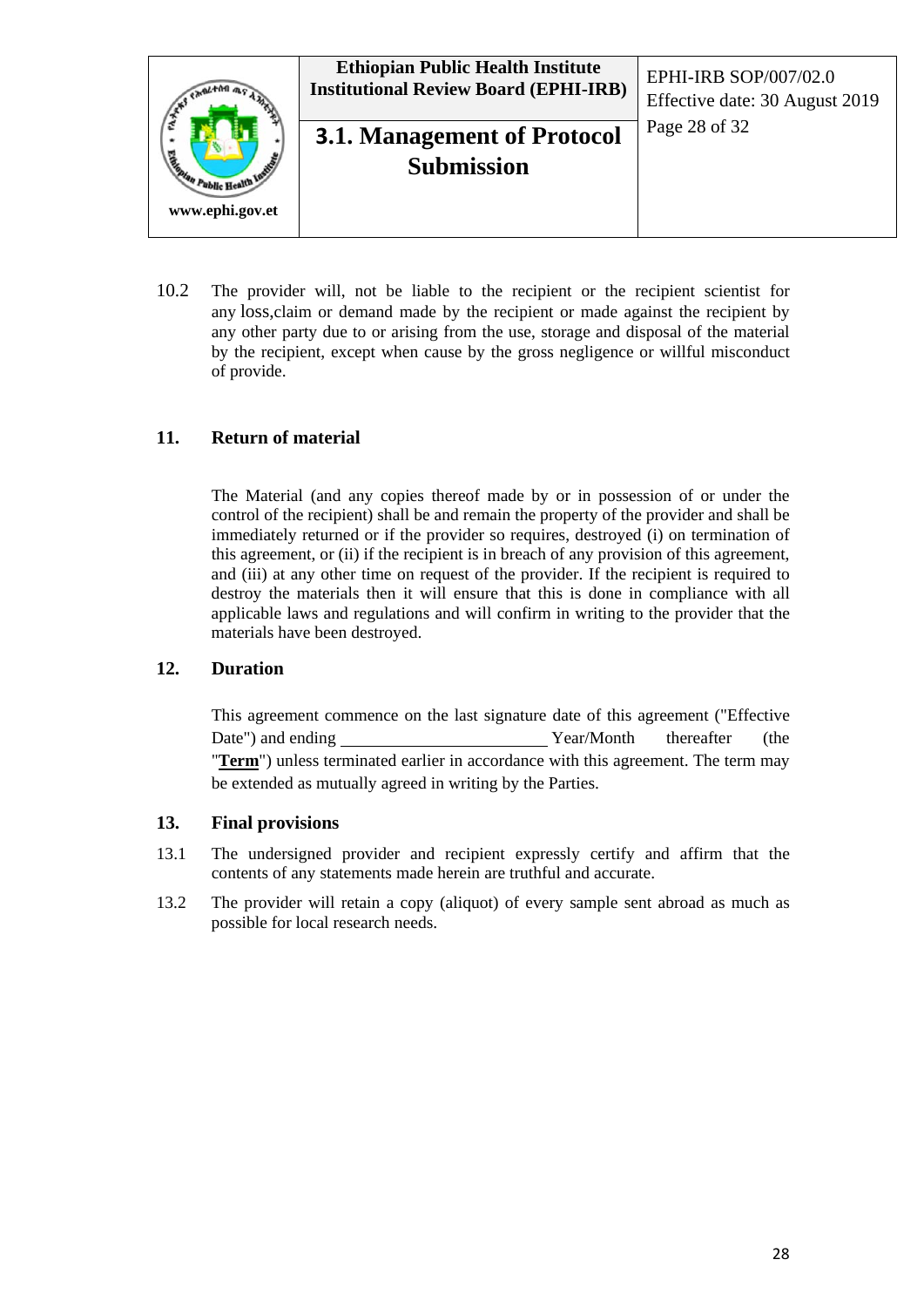

10.2 The provider will, not be liable to the recipient or the recipient scientist for any loss,claim or demand made by the recipient or made against the recipient by any other party due to or arising from the use, storage and disposal of the material by the recipient, except when cause by the gross negligence or willful misconduct of provide.

#### **11. Return of material**

The Material (and any copies thereof made by or in possession of or under the control of the recipient) shall be and remain the property of the provider and shall be immediately returned or if the provider so requires, destroyed (i) on termination of this agreement, or (ii) if the recipient is in breach of any provision of this agreement, and (iii) at any other time on request of the provider. If the recipient is required to destroy the materials then it will ensure that this is done in compliance with all applicable laws and regulations and will confirm in writing to the provider that the materials have been destroyed.

#### **12. Duration**

This agreement commence on the last signature date of this agreement ("Effective Date") and ending Year/Month thereafter (the "**Term**") unless terminated earlier in accordance with this agreement. The term may be extended as mutually agreed in writing by the Parties.

#### **13. Final provisions**

- 13.1 The undersigned provider and recipient expressly certify and affirm that the contents of any statements made herein are truthful and accurate.
- 13.2 The provider will retain a copy (aliquot) of every sample sent abroad as much as possible for local research needs.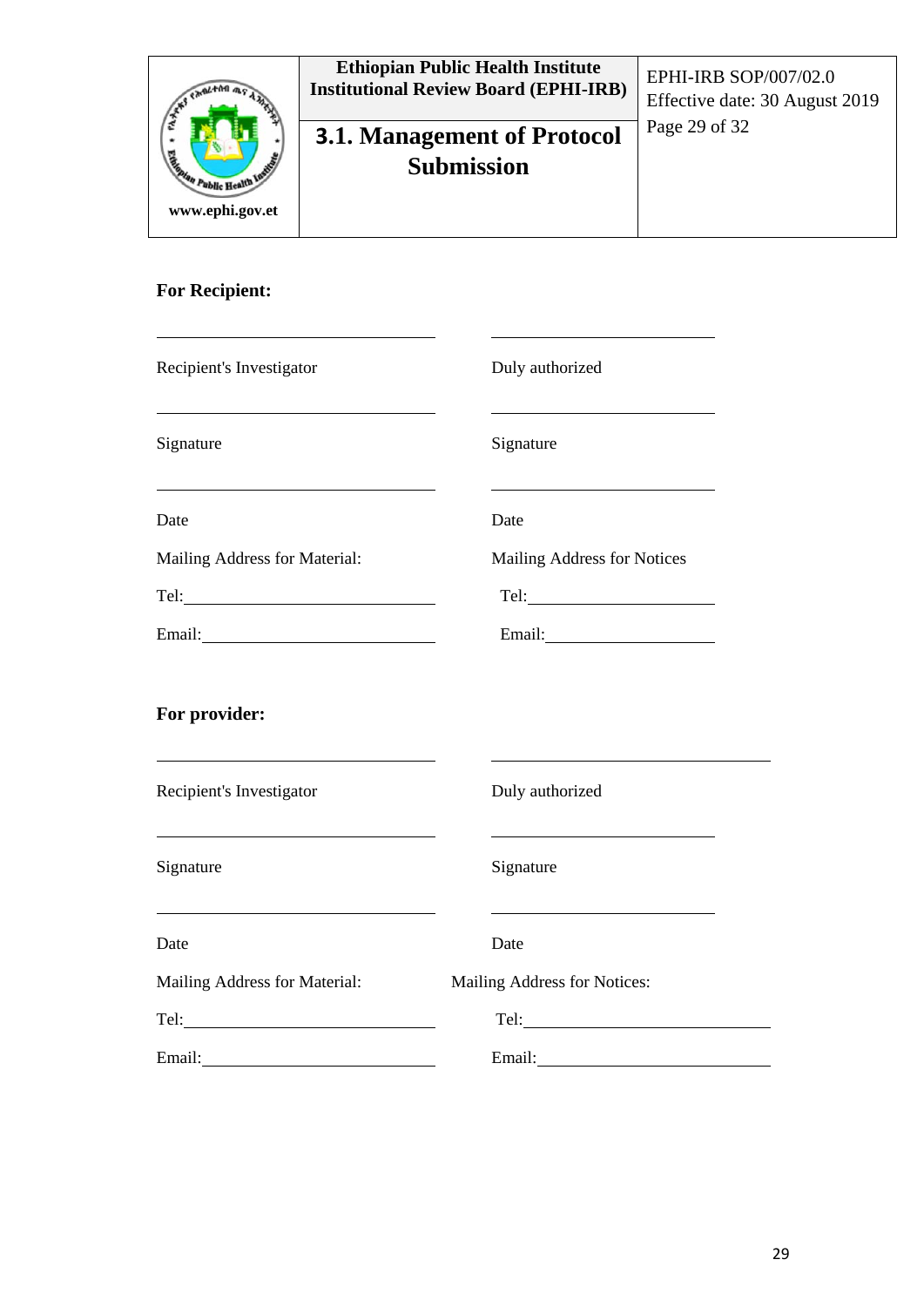| <b>Calgata</b><br>an Public Health Inc.<br>www.ephi.gov.et | <b>Ethiopian Public Health Institute</b><br><b>Institutional Review Board (EPHI-IRB)</b> | EPHI-IRB SOP/007/02.0<br>Effective date: 30 August 2019 |
|------------------------------------------------------------|------------------------------------------------------------------------------------------|---------------------------------------------------------|
|                                                            | <b>3.1. Management of Protocol</b><br><b>Submission</b>                                  | Page 29 of 32                                           |

## **For Recipient:**

| Recipient's Investigator                                                                                                                                                                                                       | Duly authorized                                                                                                                                                                                                                |
|--------------------------------------------------------------------------------------------------------------------------------------------------------------------------------------------------------------------------------|--------------------------------------------------------------------------------------------------------------------------------------------------------------------------------------------------------------------------------|
| Signature                                                                                                                                                                                                                      | Signature                                                                                                                                                                                                                      |
| Date                                                                                                                                                                                                                           | Date                                                                                                                                                                                                                           |
| Mailing Address for Material:                                                                                                                                                                                                  | Mailing Address for Notices                                                                                                                                                                                                    |
|                                                                                                                                                                                                                                |                                                                                                                                                                                                                                |
| Email: 2008 Contract District Contract District Contract District Contract District Contract District Contract Contract District Contract District Contract District Contract District Contract District Contract District Con |                                                                                                                                                                                                                                |
| For provider:                                                                                                                                                                                                                  |                                                                                                                                                                                                                                |
| Recipient's Investigator                                                                                                                                                                                                       | Duly authorized                                                                                                                                                                                                                |
| Signature                                                                                                                                                                                                                      | Signature                                                                                                                                                                                                                      |
| <u> 1989 - Johann Barbara, martin amerikan basar dan berasal dan berasal dalam basar dalam basar dalam basar dala</u><br>Date                                                                                                  | <u> 1989 - Johann Barbara, martin amerikan basal dan berasal dalam basal dalam basal dalam basal dalam basal dala</u><br>Date                                                                                                  |
| Mailing Address for Material:                                                                                                                                                                                                  | Mailing Address for Notices:                                                                                                                                                                                                   |
|                                                                                                                                                                                                                                |                                                                                                                                                                                                                                |
| Email: No. 1996                                                                                                                                                                                                                | Email: and the contract of the contract of the contract of the contract of the contract of the contract of the contract of the contract of the contract of the contract of the contract of the contract of the contract of the |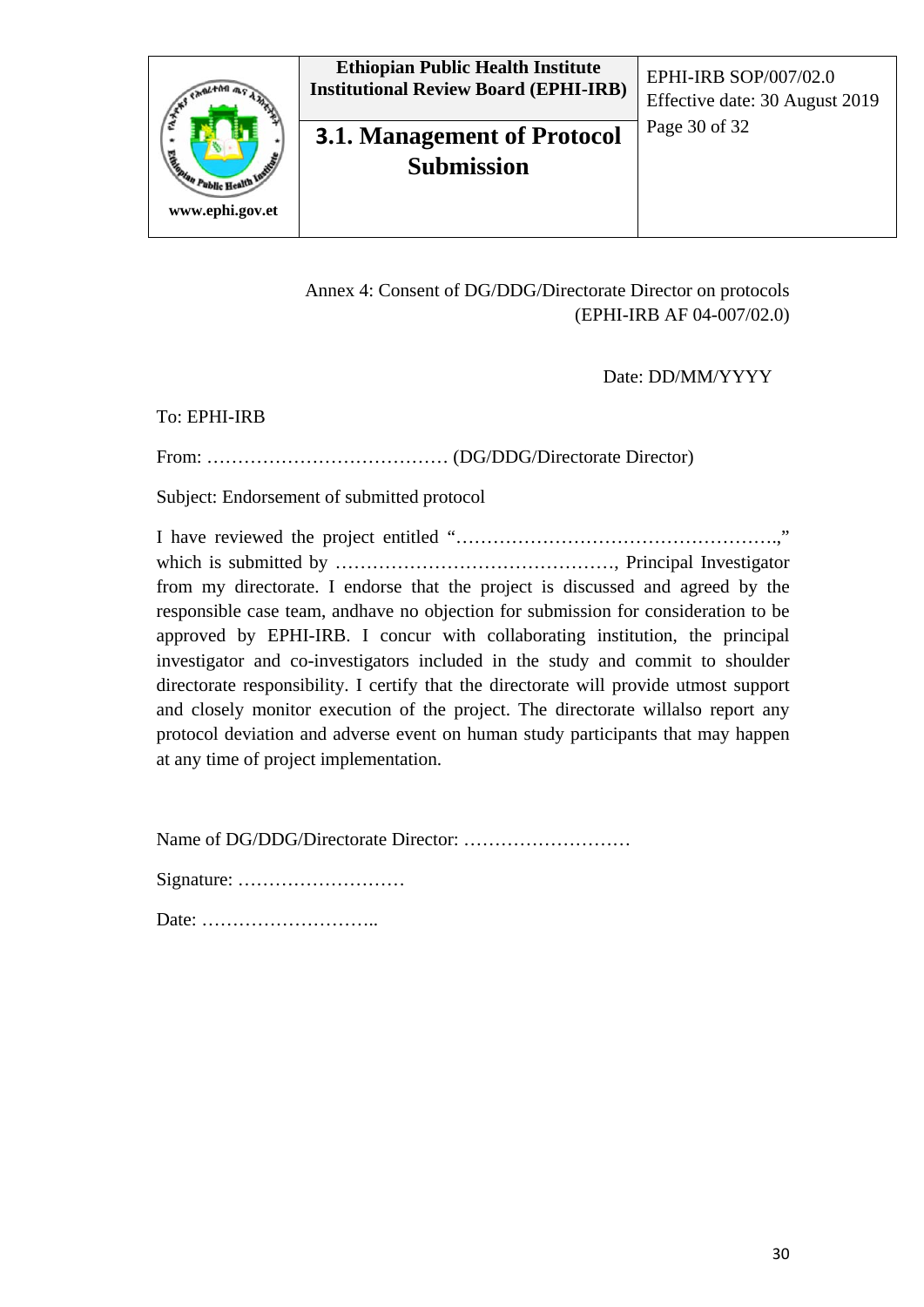

## **3.1. Management of Protocol** Page 30 of 32 **Submission**

Effective date: 30 August 2019

#### Annex 4: Consent of DG/DDG/Directorate Director on protocols (EPHI-IRB AF 04-007/02.0)

Date: DD/MM/YYYY

#### To: EPHI-IRB

From: ………………………………… (DG/DDG/Directorate Director)

Subject: Endorsement of submitted protocol

I have reviewed the project entitled "…………………………………………….," which is submitted by ………………………………………, Principal Investigator from my directorate. I endorse that the project is discussed and agreed by the responsible case team, andhave no objection for submission for consideration to be approved by EPHI-IRB. I concur with collaborating institution, the principal investigator and co-investigators included in the study and commit to shoulder directorate responsibility. I certify that the directorate will provide utmost support and closely monitor execution of the project. The directorate willalso report any protocol deviation and adverse event on human study participants that may happen at any time of project implementation.

Name of DG/DDG/Directorate Director: ………………………

Signature: ………………………

Date: ………………………..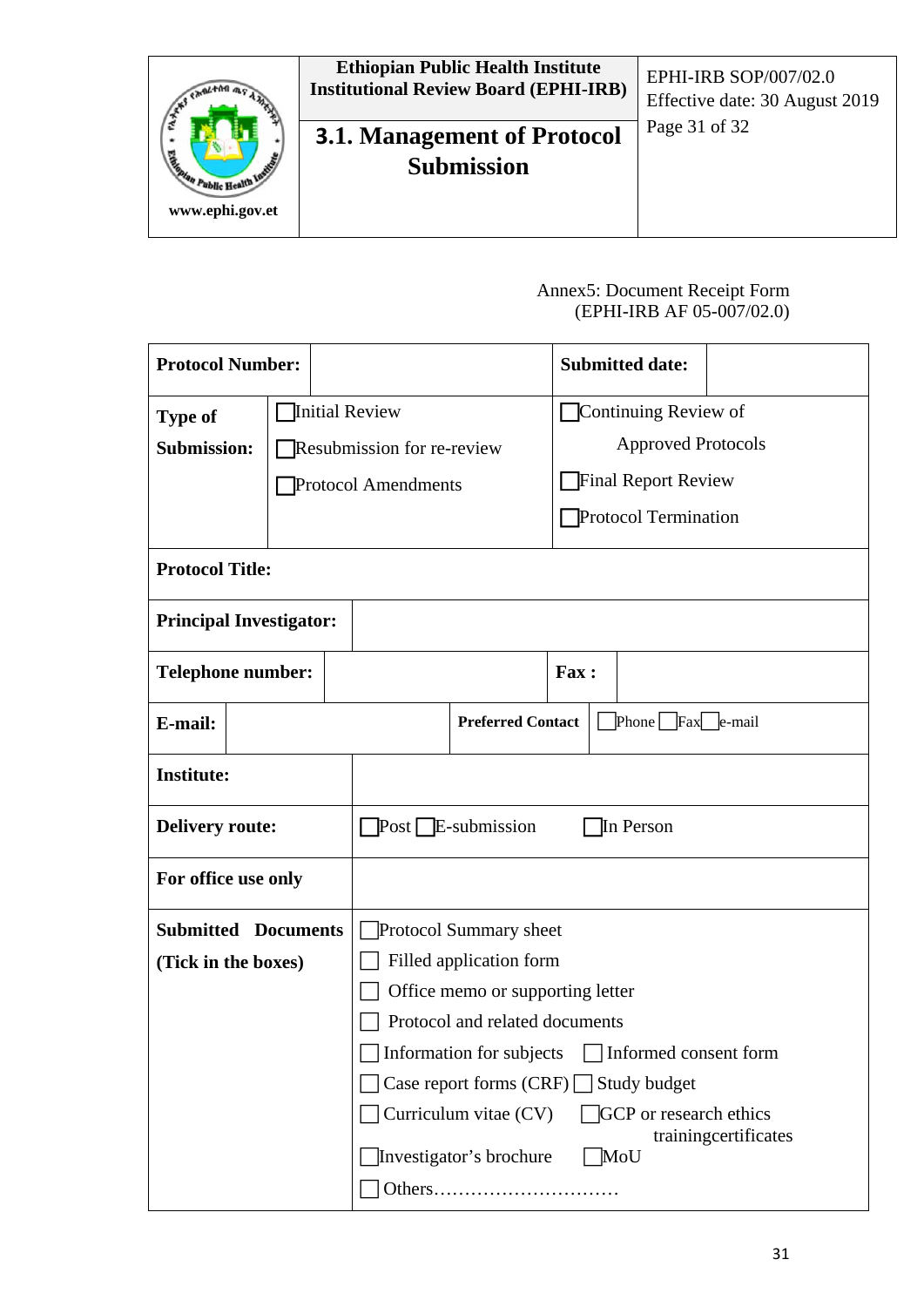

#### Annex5: Document Receipt Form (EPHI-IRB AF 05-007/02.0)

| <b>Protocol Number:</b>        |                |                                                   |                                                        |                          |                           |  | <b>Submitted date:</b>      |                      |
|--------------------------------|----------------|---------------------------------------------------|--------------------------------------------------------|--------------------------|---------------------------|--|-----------------------------|----------------------|
| <b>Type of</b>                 | Initial Review |                                                   |                                                        | Continuing Review of     |                           |  |                             |                      |
| <b>Submission:</b>             |                |                                                   | Resubmission for re-review                             |                          | <b>Approved Protocols</b> |  |                             |                      |
|                                |                |                                                   | <b>Protocol Amendments</b>                             |                          |                           |  | <b>Final Report Review</b>  |                      |
|                                |                |                                                   |                                                        |                          |                           |  | <b>Protocol Termination</b> |                      |
|                                |                |                                                   |                                                        |                          |                           |  |                             |                      |
| <b>Protocol Title:</b>         |                |                                                   |                                                        |                          |                           |  |                             |                      |
| <b>Principal Investigator:</b> |                |                                                   |                                                        |                          |                           |  |                             |                      |
| <b>Telephone number:</b>       |                |                                                   |                                                        |                          | Fax:                      |  |                             |                      |
| E-mail:                        |                |                                                   |                                                        | <b>Preferred Contact</b> |                           |  | Phone Fax e-mail            |                      |
| <b>Institute:</b>              |                |                                                   |                                                        |                          |                           |  |                             |                      |
| <b>Delivery route:</b>         |                |                                                   | $Post$ E-submission<br>In Person                       |                          |                           |  |                             |                      |
| For office use only            |                |                                                   |                                                        |                          |                           |  |                             |                      |
| <b>Submitted Documents</b>     |                |                                                   |                                                        | Protocol Summary sheet   |                           |  |                             |                      |
| (Tick in the boxes)            |                |                                                   | Filled application form                                |                          |                           |  |                             |                      |
|                                |                |                                                   | Office memo or supporting letter                       |                          |                           |  |                             |                      |
|                                |                |                                                   | Protocol and related documents                         |                          |                           |  |                             |                      |
|                                |                | Information for subjects<br>Informed consent form |                                                        |                          |                           |  |                             |                      |
|                                |                |                                                   | Case report forms $(CRF)$<br>Study budget              |                          |                           |  |                             |                      |
|                                |                |                                                   | Curriculum vitae (CV)<br><b>GCP</b> or research ethics |                          |                           |  |                             |                      |
|                                |                |                                                   |                                                        | Investigator's brochure  |                           |  | MoU                         | trainingcertificates |
|                                |                |                                                   |                                                        |                          |                           |  |                             |                      |